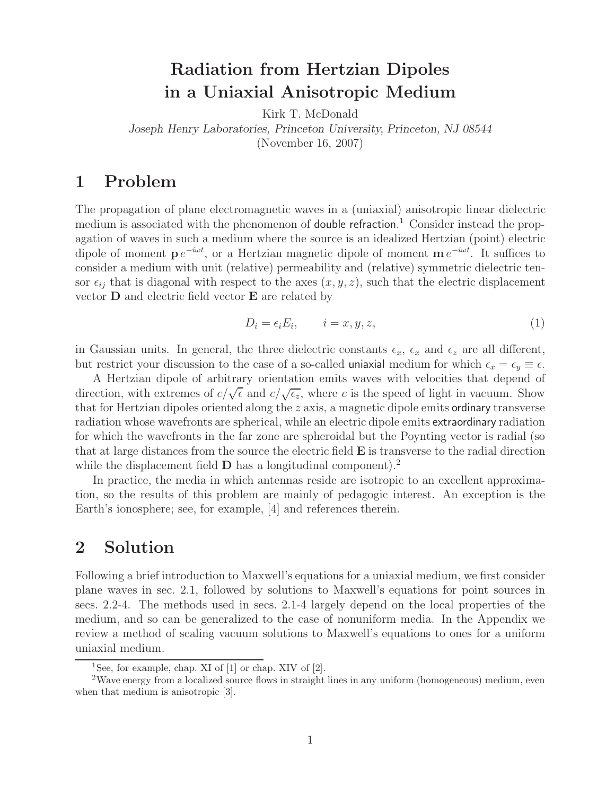# **Radiation from Hertzian Dipoles in a Uniaxial Anisotropic Medium**

Kirk T. McDonald

*Joseph Henry Laboratories, Princeton University, Princeton, NJ 08544*

(November 16, 2007)

## **1 Problem**

The propagation of plane electromagnetic waves in a (uniaxial) anisotropic linear dielectric medium is associated with the phenomenon of double refraction.<sup>1</sup> Consider instead the propagation of waves in such a medium where the source is an idealized Hertzian (point) electric dipole of moment **p**  $e^{-i\omega t}$ , or a Hertzian magnetic dipole of moment **m**  $e^{-i\omega t}$ . It suffices to consider a medium with unit (relative) permeability and (relative) symmetric dielectric tensor  $\epsilon_{ij}$  that is diagonal with respect to the axes  $(x, y, z)$ , such that the electric displacement vector **D** and electric field vector **E** are related by

$$
D_i = \epsilon_i E_i, \qquad i = x, y, z,
$$
\n<sup>(1)</sup>

in Gaussian units. In general, the three dielectric constants  $\epsilon_x$ ,  $\epsilon_x$  and  $\epsilon_z$  are all different, but restrict your discussion to the case of a so-called uniaxial medium for which  $\epsilon_x = \epsilon_y \equiv \epsilon$ .

A Hertzian dipole of arbitrary orientation emits waves with velocities that depend of A free tall upone of a bridary orientation emits waves with velocities that depend of direction, with extremes of  $c/\sqrt{\epsilon}$  and  $c/\sqrt{\epsilon_z}$ , where c is the speed of light in vacuum. Show that for Hertzian dipoles oriented along the  $z$  axis, a magnetic dipole emits ordinary transverse radiation whose wavefronts are spherical, while an electric dipole emits extraordinary radiation for which the wavefronts in the far zone are spheroidal but the Poynting vector is radial (so that at large distances from the source the electric field **E** is transverse to the radial direction while the displacement field **D** has a longitudinal component).<sup>2</sup>

In practice, the media in which antennas reside are isotropic to an excellent approximation, so the results of this problem are mainly of pedagogic interest. An exception is the Earth's ionosphere; see, for example, [4] and references therein.

## **2 Solution**

Following a brief introduction to Maxwell's equations for a uniaxial medium, we first consider plane waves in sec. 2.1, followed by solutions to Maxwell's equations for point sources in secs. 2.2-4. The methods used in secs. 2.1-4 largely depend on the local properties of the medium, and so can be generalized to the case of nonuniform media. In the Appendix we review a method of scaling vacuum solutions to Maxwell's equations to ones for a uniform uniaxial medium.

<sup>&</sup>lt;sup>1</sup>See, for example, chap. XI of  $[1]$  or chap. XIV of  $[2]$ .

<sup>2</sup>Wave energy from a localized source flows in straight lines in any uniform (homogeneous) medium, even when that medium is anisotropic [3].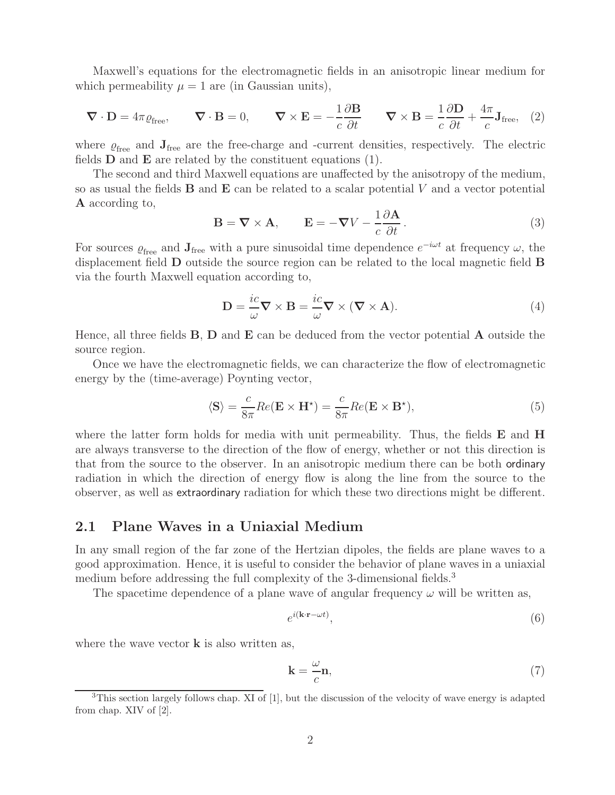Maxwell's equations for the electromagnetic fields in an anisotropic linear medium for which permeability  $\mu = 1$  are (in Gaussian units),

$$
\nabla \cdot \mathbf{D} = 4\pi \varrho_{\text{free}}, \qquad \nabla \cdot \mathbf{B} = 0, \qquad \nabla \times \mathbf{E} = -\frac{1}{c} \frac{\partial \mathbf{B}}{\partial t} \qquad \nabla \times \mathbf{B} = \frac{1}{c} \frac{\partial \mathbf{D}}{\partial t} + \frac{4\pi}{c} \mathbf{J}_{\text{free}}, \tag{2}
$$

where  $\varrho_{\text{free}}$  and  $\mathbf{J}_{\text{free}}$  are the free-charge and -current densities, respectively. The electric fields **D** and **E** are related by the constituent equations (1).

The second and third Maxwell equations are unaffected by the anisotropy of the medium, so as usual the fields **B** and **E** can be related to a scalar potential V and a vector potential **A** according to,

$$
\mathbf{B} = \nabla \times \mathbf{A}, \qquad \mathbf{E} = -\nabla V - \frac{1}{c} \frac{\partial \mathbf{A}}{\partial t}.
$$
 (3)

For sources  $\varrho_{\text{free}}$  and  $\mathbf{J}_{\text{free}}$  with a pure sinusoidal time dependence  $e^{-i\omega t}$  at frequency  $\omega$ , the displacement field **D** outside the source region can be related to the local magnetic field **B** via the fourth Maxwell equation according to,

$$
\mathbf{D} = \frac{ic}{\omega} \nabla \times \mathbf{B} = \frac{ic}{\omega} \nabla \times (\nabla \times \mathbf{A}).
$$
\n(4)

Hence, all three fields **B**, **D** and **E** can be deduced from the vector potential **A** outside the source region.

Once we have the electromagnetic fields, we can characterize the flow of electromagnetic energy by the (time-average) Poynting vector,

$$
\langle \mathbf{S} \rangle = \frac{c}{8\pi} Re(\mathbf{E} \times \mathbf{H}^{\star}) = \frac{c}{8\pi} Re(\mathbf{E} \times \mathbf{B}^{\star}), \tag{5}
$$

where the latter form holds for media with unit permeability. Thus, the fields **E** and **H** are always transverse to the direction of the flow of energy, whether or not this direction is that from the source to the observer. In an anisotropic medium there can be both ordinary radiation in which the direction of energy flow is along the line from the source to the observer, as well as extraordinary radiation for which these two directions might be different.

### **2.1 Plane Waves in a Uniaxial Medium**

In any small region of the far zone of the Hertzian dipoles, the fields are plane waves to a good approximation. Hence, it is useful to consider the behavior of plane waves in a uniaxial medium before addressing the full complexity of the 3-dimensional fields.<sup>3</sup>

The spacetime dependence of a plane wave of angular frequency  $\omega$  will be written as,

$$
e^{i(\mathbf{k}\cdot\mathbf{r}-\omega t)},\tag{6}
$$

where the wave vector **k** is also written as,

$$
\mathbf{k} = \frac{\omega}{c} \mathbf{n},\tag{7}
$$

<sup>&</sup>lt;sup>3</sup>This section largely follows chap. XI of [1], but the discussion of the velocity of wave energy is adapted from chap. XIV of [2].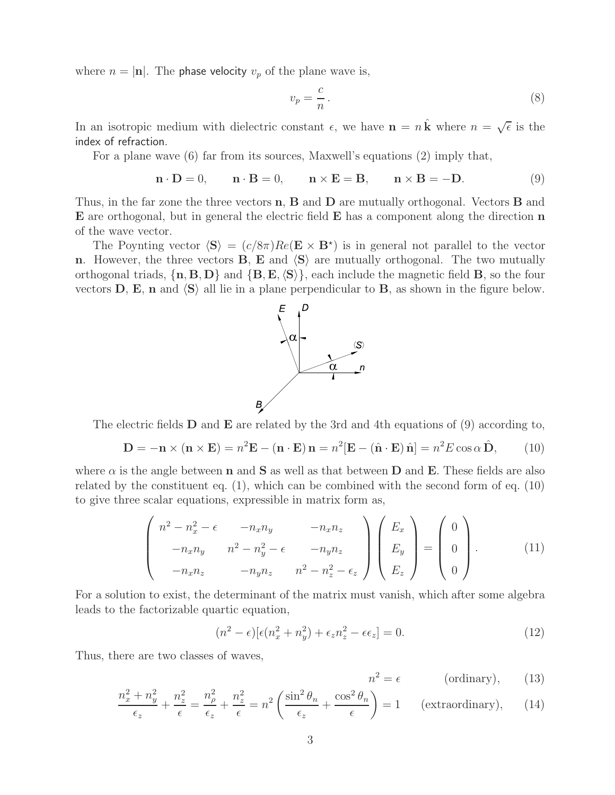where  $n = |\mathbf{n}|$ . The **phase velocity**  $v_p$  of the plane wave is,

$$
v_p = \frac{c}{n} \,. \tag{8}
$$

In an isotropic medium with dielectric constant  $\epsilon$ , we have  $\mathbf{n} = n\hat{\mathbf{k}}$  where  $n = \sqrt{\epsilon}$  is the index of refraction.

For a plane wave (6) far from its sources, Maxwell's equations (2) imply that,

$$
\mathbf{n} \cdot \mathbf{D} = 0, \qquad \mathbf{n} \cdot \mathbf{B} = 0, \qquad \mathbf{n} \times \mathbf{E} = \mathbf{B}, \qquad \mathbf{n} \times \mathbf{B} = -\mathbf{D}.
$$
 (9)

Thus, in the far zone the three vectors **n**, **B** and **D** are mutually orthogonal. Vectors **B** and **E** are orthogonal, but in general the electric field **E** has a component along the direction **n** of the wave vector.

The Poynting vector  $\langle S \rangle = (c/8\pi)Re(E \times B^*)$  is in general not parallel to the vector **n**. However, the three vectors **B**, **E** and  $\langle S \rangle$  are mutually orthogonal. The two mutually orthogonal triads,  $\{\mathbf{n}, \mathbf{B}, \mathbf{D}\}\$  and  $\{\mathbf{B}, \mathbf{E}, \langle \mathbf{S} \rangle\}$ , each include the magnetic field **B**, so the four vectors  $\mathbf{D}$ ,  $\mathbf{E}$ ,  $\mathbf{n}$  and  $\langle \mathbf{S} \rangle$  all lie in a plane perpendicular to  $\mathbf{B}$ , as shown in the figure below.



The electric fields **D** and **E** are related by the 3rd and 4th equations of (9) according to,

$$
\mathbf{D} = -\mathbf{n} \times (\mathbf{n} \times \mathbf{E}) = n^2 \mathbf{E} - (\mathbf{n} \cdot \mathbf{E}) \mathbf{n} = n^2 [\mathbf{E} - (\hat{\mathbf{n}} \cdot \mathbf{E}) \hat{\mathbf{n}}] = n^2 E \cos \alpha \hat{\mathbf{D}}, \quad (10)
$$

where  $\alpha$  is the angle between **n** and **S** as well as that between **D** and **E**. These fields are also related by the constituent eq. (1), which can be combined with the second form of eq. (10) to give three scalar equations, expressible in matrix form as,

$$
\begin{pmatrix}\nn^2 - n_x^2 - \epsilon & -n_x n_y & -n_x n_z \\
-n_x n_y & n^2 - n_y^2 - \epsilon & -n_y n_z \\
-n_x n_z & -n_y n_z & n^2 - n_z^2 - \epsilon_z\n\end{pmatrix}\n\begin{pmatrix}\nE_x \\
E_y \\
E_z\n\end{pmatrix} = \begin{pmatrix}\n0 \\
0 \\
0\n\end{pmatrix}.
$$
\n(11)

For a solution to exist, the determinant of the matrix must vanish, which after some algebra leads to the factorizable quartic equation,

$$
(n2 - \epsilon) [\epsilon (nx2 + ny2) + \epsilonz nz2 - \epsilon \epsilonz] = 0.
$$
 (12)

Thus, there are two classes of waves,

$$
n^2 = \epsilon \qquad \qquad \text{(ordinary)}, \qquad \text{(13)}
$$

$$
\frac{n_x^2 + n_y^2}{\epsilon_z} + \frac{n_z^2}{\epsilon} = \frac{n_\rho^2}{\epsilon_z} + \frac{n_z^2}{\epsilon} = n^2 \left( \frac{\sin^2 \theta_n}{\epsilon_z} + \frac{\cos^2 \theta_n}{\epsilon} \right) = 1 \quad \text{(extrarotriatory)}, \tag{14}
$$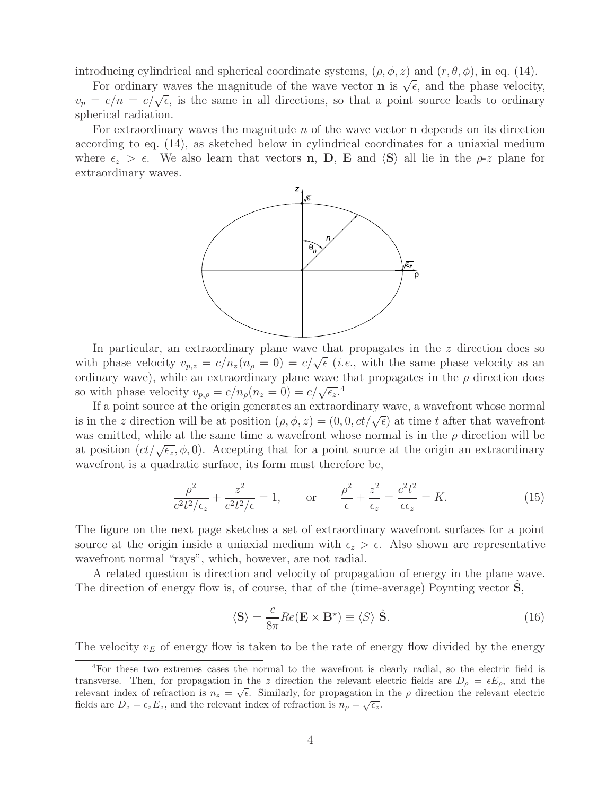introducing cylindrical and spherical coordinate systems,  $(\rho, \phi, z)$  and  $(r, \theta, \phi)$ , in eq. (14).

For ordinary waves the magnitude of the wave vector **n** is  $\sqrt{\epsilon}$ , and the phase velocity, For ordinary waves the magnitude of the wave vector **i** is  $\sqrt{e}$ , and the phase velocity,<br> $v_p = c/n = c/\sqrt{\epsilon}$ , is the same in all directions, so that a point source leads to ordinary spherical radiation.

For extraordinary waves the magnitude n of the wave vector **n** depends on its direction according to eq. (14), as sketched below in cylindrical coordinates for a uniaxial medium where  $\epsilon_z > \epsilon$ . We also learn that vectors **n**, **D**, **E** and  $\langle \mathbf{S} \rangle$  all lie in the  $\rho$ -z plane for extraordinary waves.



In particular, an extraordinary plane wave that propagates in the z direction does so in particular, an extraordinary plane wave that propagates in the z direction does so<br>with phase velocity  $v_{p,z} = c/n_z(n_\rho = 0) = c/\sqrt{\epsilon}$  (*i.e.*, with the same phase velocity as an ordinary wave), while an extraordinary plane wave that propagates in the  $\rho$  direction does so with phase velocity  $v_{p,\rho} = c/n_\rho(n_z = 0) = c/\sqrt{\epsilon_z}$ .<sup>4</sup>

If a point source at the origin generates an extraordinary wave, a wavefront whose normal is in the z direction will be at position  $(\rho, \phi, z) = (0, 0, ct/\sqrt{\epsilon})$  at time t after that wavefront was emitted, while at the same time a wavefront whose normal is in the  $\rho$  direction will be at position  $(ct/\sqrt{\epsilon_z}, \phi, 0)$ . Accepting that for a point source at the origin an extraordinary wavefront is a quadratic surface, its form must therefore be,

$$
\frac{\rho^2}{c^2 t^2/\epsilon_z} + \frac{z^2}{c^2 t^2/\epsilon} = 1, \qquad \text{or} \qquad \frac{\rho^2}{\epsilon} + \frac{z^2}{\epsilon_z} = \frac{c^2 t^2}{\epsilon \epsilon_z} = K. \tag{15}
$$

The figure on the next page sketches a set of extraordinary wavefront surfaces for a point source at the origin inside a uniaxial medium with  $\epsilon_z > \epsilon$ . Also shown are representative wavefront normal "rays", which, however, are not radial.

A related question is direction and velocity of propagation of energy in the plane wave. The direction of energy flow is, of course, that of the (time-average) Poynting vector **S**,

$$
\langle \mathbf{S} \rangle = \frac{c}{8\pi} Re(\mathbf{E} \times \mathbf{B}^{\star}) \equiv \langle S \rangle \hat{\mathbf{S}}.
$$
 (16)

The velocity  $v_E$  of energy flow is taken to be the rate of energy flow divided by the energy

<sup>4</sup>For these two extremes cases the normal to the wavefront is clearly radial, so the electric field is transverse. Then, for propagation in the z direction the relevant electric fields are  $D_{\rho} = \epsilon E_{\rho}$ , and the relevant index of refraction is  $n_z = \sqrt{\epsilon}$ . Similarly, for propagation in the  $\rho$  direction the relevant electric fields are  $D_{\rho} = \epsilon E_{\rho}$ , and the relevant electric fields are  $D_z = \epsilon_z E_z$ , and the relevant index of refraction is  $n_\rho = \sqrt{\epsilon_z}$ .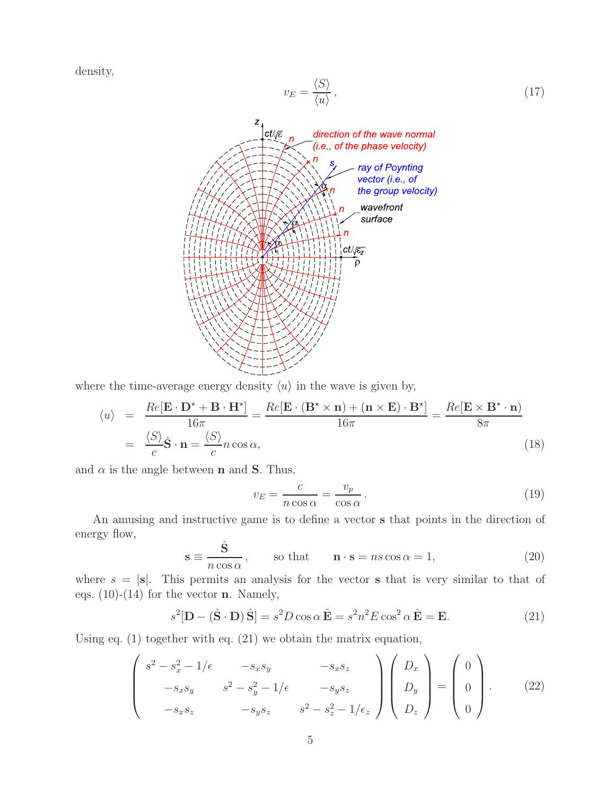density,

$$
v_E = \frac{\langle S \rangle}{\langle u \rangle},\tag{17}
$$



where the time-average energy density  $\langle u \rangle$  in the wave is given by,

$$
\langle u \rangle = \frac{Re[\mathbf{E} \cdot \mathbf{D}^* + \mathbf{B} \cdot \mathbf{H}^*]}{16\pi} = \frac{Re[\mathbf{E} \cdot (\mathbf{B}^* \times \mathbf{n}) + (\mathbf{n} \times \mathbf{E}) \cdot \mathbf{B}^*]}{16\pi} = \frac{Re[\mathbf{E} \times \mathbf{B}^* \cdot \mathbf{n}]}{8\pi}
$$

$$
= \frac{\langle S \rangle}{c} \hat{\mathbf{S}} \cdot \mathbf{n} = \frac{\langle S \rangle}{c} n \cos \alpha,
$$
(18)

and  $\alpha$  is the angle between **n** and **S**. Thus,

$$
v_E = \frac{c}{n\cos\alpha} = \frac{v_p}{\cos\alpha}.
$$
\n(19)

An amusing and instructive game is to define a vector **s** that points in the direction of energy flow,

$$
\mathbf{s} \equiv \frac{\hat{\mathbf{S}}}{n \cos \alpha}, \qquad \text{so that} \qquad \mathbf{n} \cdot \mathbf{s} = n s \cos \alpha = 1,
$$
 (20)

where  $s = |\mathbf{s}|$ . This permits an analysis for the vector **s** that is very similar to that of eqs. (10)-(14) for the vector **n**. Namely,

$$
s^{2}[\mathbf{D} - (\hat{\mathbf{S}} \cdot \mathbf{D}) \hat{\mathbf{S}}] = s^{2} D \cos \alpha \, \hat{\mathbf{E}} = s^{2} n^{2} E \cos^{2} \alpha \, \hat{\mathbf{E}} = \mathbf{E}.
$$
 (21)

Using eq. (1) together with eq. (21) we obtain the matrix equation,

$$
\begin{pmatrix}\ns^2 - s_x^2 - 1/\epsilon & -s_x s_y & -s_x s_z \\
-s_x s_y & s^2 - s_y^2 - 1/\epsilon & -s_y s_z \\
-s_x s_z & -s_y s_z & s^2 - s_z^2 - 1/\epsilon_z\n\end{pmatrix}\n\begin{pmatrix}\nD_x \\
D_y \\
D_z\n\end{pmatrix} =\n\begin{pmatrix}\n0 \\
0 \\
0\n\end{pmatrix}.
$$
\n(22)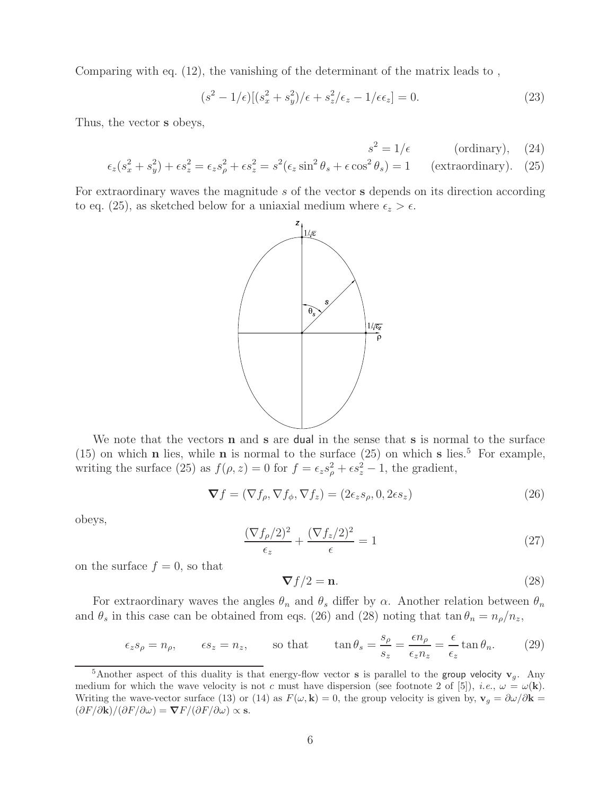Comparing with eq. (12), the vanishing of the determinant of the matrix leads to ,

$$
(s2 - 1/\epsilon)[(sx2 + sy2)/\epsilon + sz2/\epsilonz - 1/\epsilon\epsilonz] = 0.
$$
 (23)

Thus, the vector **s** obeys,

$$
s^2 = 1/\epsilon \qquad \text{(ordinary)}, \quad (24)
$$

$$
\epsilon_z(s_x^2 + s_y^2) + \epsilon s_z^2 = \epsilon_z s_\rho^2 + \epsilon s_z^2 = s^2(\epsilon_z \sin^2 \theta_s + \epsilon \cos^2 \theta_s) = 1 \quad \text{(extrarotinary)}.
$$
 (25)

For extraordinary waves the magnitude s of the vector **s** depends on its direction according to eq. (25), as sketched below for a uniaxial medium where  $\epsilon_z > \epsilon$ .



We note that the vectors **n** and **s** are dual in the sense that **s** is normal to the surface (15) on which **n** lies, while **n** is normal to the surface (25) on which **s** lies.<sup>5</sup> For example, writing the surface (25) as  $f(\rho, z) = 0$  for  $f = \epsilon_z s_\rho^2 + \epsilon s_z^2 - 1$ , the gradient,

$$
\nabla f = (\nabla f_{\rho}, \nabla f_{\phi}, \nabla f_{z}) = (2\epsilon_{z}s_{\rho}, 0, 2\epsilon s_{z})
$$
\n(26)

obeys,

$$
\frac{(\nabla f_{\rho}/2)^2}{\epsilon_z} + \frac{(\nabla f_z/2)^2}{\epsilon} = 1\tag{27}
$$

on the surface  $f = 0$ , so that

$$
\nabla f/2 = \mathbf{n}.\tag{28}
$$

For extraordinary waves the angles  $\theta_n$  and  $\theta_s$  differ by  $\alpha$ . Another relation between  $\theta_n$ and  $\theta_s$  in this case can be obtained from eqs. (26) and (28) noting that  $\tan \theta_n = n_\rho/n_z$ ,

$$
\epsilon_z s_\rho = n_\rho, \qquad \epsilon s_z = n_z,
$$
 so that  $\tan \theta_s = \frac{s_\rho}{s_z} = \frac{\epsilon n_\rho}{\epsilon_z n_z} = \frac{\epsilon}{\epsilon_z} \tan \theta_n.$  (29)

<sup>&</sup>lt;sup>5</sup>Another aspect of this duality is that energy-flow vector **s** is parallel to the group velocity  $v<sub>g</sub>$ . Any medium for which the wave velocity is not c must have dispersion (see footnote 2 of [5]), *i.e.*,  $\omega = \omega(\mathbf{k})$ . Writing the wave-vector surface (13) or (14) as  $F(\omega, \mathbf{k}) = 0$ , the group velocity is given by,  $\mathbf{v}_g = \partial \omega / \partial \mathbf{k} =$  $(\partial F/\partial \mathbf{k})/(\partial F/\partial \omega) = \nabla F/(\partial F/\partial \omega) \propto \mathbf{s}.$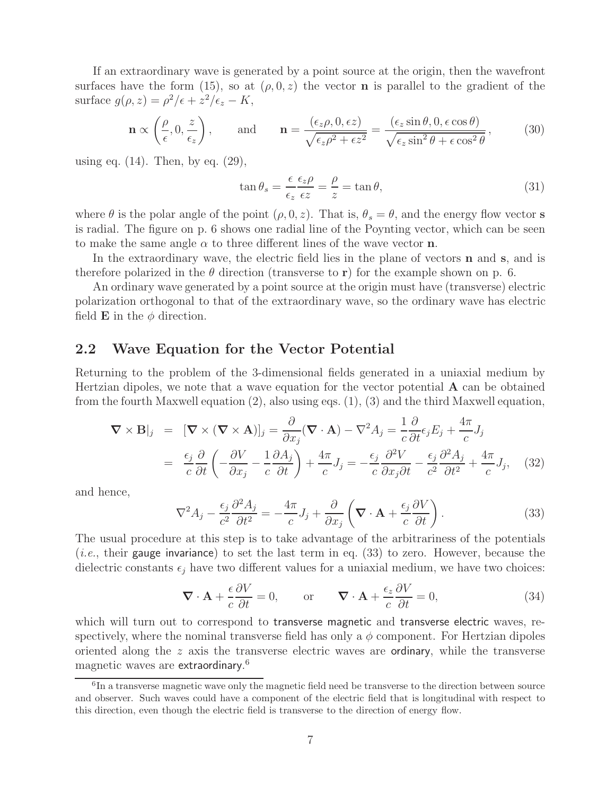If an extraordinary wave is generated by a point source at the origin, then the wavefront surfaces have the form (15), so at  $(\rho, 0, z)$  the vector **n** is parallel to the gradient of the surface  $g(\rho, z) = \rho^2/\epsilon + z^2/\epsilon_z - K$ ,

$$
\mathbf{n} \propto \left(\frac{\rho}{\epsilon}, 0, \frac{z}{\epsilon_z}\right), \quad \text{and} \quad \mathbf{n} = \frac{(\epsilon_z \rho, 0, \epsilon z)}{\sqrt{\epsilon_z \rho^2 + \epsilon z^2}} = \frac{(\epsilon_z \sin \theta, 0, \epsilon \cos \theta)}{\sqrt{\epsilon_z \sin^2 \theta + \epsilon \cos^2 \theta}}, \quad (30)
$$

using eq.  $(14)$ . Then, by eq.  $(29)$ ,

$$
\tan \theta_s = \frac{\epsilon}{\epsilon_z} \frac{\epsilon_z \rho}{\epsilon z} = \frac{\rho}{z} = \tan \theta,\tag{31}
$$

where  $\theta$  is the polar angle of the point  $(\rho, 0, z)$ . That is,  $\theta_s = \theta$ , and the energy flow vector **s** is radial. The figure on p. 6 shows one radial line of the Poynting vector, which can be seen to make the same angle  $\alpha$  to three different lines of the wave vector **n**.

In the extraordinary wave, the electric field lies in the plane of vectors **n** and **s**, and is therefore polarized in the  $\theta$  direction (transverse to **r**) for the example shown on p. 6.

An ordinary wave generated by a point source at the origin must have (transverse) electric polarization orthogonal to that of the extraordinary wave, so the ordinary wave has electric field **E** in the  $\phi$  direction.

### **2.2 Wave Equation for the Vector Potential**

Returning to the problem of the 3-dimensional fields generated in a uniaxial medium by Hertzian dipoles, we note that a wave equation for the vector potential **A** can be obtained from the fourth Maxwell equation (2), also using eqs. (1), (3) and the third Maxwell equation,

$$
\nabla \times \mathbf{B}|_{j} = [\nabla \times (\nabla \times \mathbf{A})]_{j} = \frac{\partial}{\partial x_{j}} (\nabla \cdot \mathbf{A}) - \nabla^{2} A_{j} = \frac{1}{c} \frac{\partial}{\partial t} \epsilon_{j} E_{j} + \frac{4\pi}{c} J_{j}
$$
  

$$
= \frac{\epsilon_{j}}{c} \frac{\partial}{\partial t} \left( -\frac{\partial V}{\partial x_{j}} - \frac{1}{c} \frac{\partial A_{j}}{\partial t} \right) + \frac{4\pi}{c} J_{j} = -\frac{\epsilon_{j}}{c} \frac{\partial^{2} V}{\partial x_{j} \partial t} - \frac{\epsilon_{j}}{c^{2}} \frac{\partial^{2} A_{j}}{\partial t^{2}} + \frac{4\pi}{c} J_{j}, \quad (32)
$$

and hence,

$$
\nabla^2 A_j - \frac{\epsilon_j}{c^2} \frac{\partial^2 A_j}{\partial t^2} = -\frac{4\pi}{c} J_j + \frac{\partial}{\partial x_j} \left( \nabla \cdot \mathbf{A} + \frac{\epsilon_j}{c} \frac{\partial V}{\partial t} \right).
$$
 (33)

The usual procedure at this step is to take advantage of the arbitrariness of the potentials (*i.e.*, their gauge invariance) to set the last term in eq.  $(33)$  to zero. However, because the dielectric constants  $\epsilon_j$  have two different values for a uniaxial medium, we have two choices:

$$
\nabla \cdot \mathbf{A} + \frac{\epsilon}{c} \frac{\partial V}{\partial t} = 0, \qquad \text{or} \qquad \nabla \cdot \mathbf{A} + \frac{\epsilon_z}{c} \frac{\partial V}{\partial t} = 0,
$$
 (34)

which will turn out to correspond to transverse magnetic and transverse electric waves, respectively, where the nominal transverse field has only a  $\phi$  component. For Hertzian dipoles oriented along the z axis the transverse electric waves are ordinary, while the transverse magnetic waves are extraordinary. 6

 $6\text{In a transverse magnetic wave only the magnetic field need be transverse to the direction between source.}$ and observer. Such waves could have a component of the electric field that is longitudinal with respect to this direction, even though the electric field is transverse to the direction of energy flow.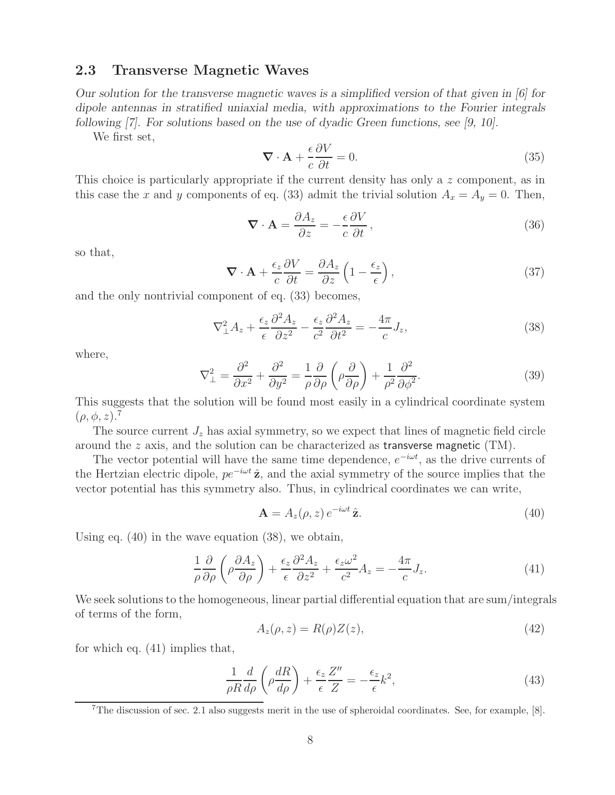### **2.3 Transverse Magnetic Waves**

*Our solution for the transverse magnetic waves is a simplified version of that given in [6] for dipole antennas in stratified uniaxial media, with approximations to the Fourier integrals following [7]. For solutions based on the use of dyadic Green functions, see [9, 10].*

We first set,

$$
\nabla \cdot \mathbf{A} + \frac{\epsilon}{c} \frac{\partial V}{\partial t} = 0. \tag{35}
$$

This choice is particularly appropriate if the current density has only a z component, as in this case the x and y components of eq. (33) admit the trivial solution  $A_x = A_y = 0$ . Then,

$$
\nabla \cdot \mathbf{A} = \frac{\partial A_z}{\partial z} = -\frac{\epsilon}{c} \frac{\partial V}{\partial t},\tag{36}
$$

so that,

$$
\nabla \cdot \mathbf{A} + \frac{\epsilon_z}{c} \frac{\partial V}{\partial t} = \frac{\partial A_z}{\partial z} \left( 1 - \frac{\epsilon_z}{\epsilon} \right),\tag{37}
$$

and the only nontrivial component of eq. (33) becomes,

$$
\nabla_{\perp}^{2} A_{z} + \frac{\epsilon_{z}}{\epsilon} \frac{\partial^{2} A_{z}}{\partial z^{2}} - \frac{\epsilon_{z}}{c^{2}} \frac{\partial^{2} A_{z}}{\partial t^{2}} = -\frac{4\pi}{c} J_{z},\tag{38}
$$

where,

$$
\nabla_{\perp}^{2} = \frac{\partial^{2}}{\partial x^{2}} + \frac{\partial^{2}}{\partial y^{2}} = \frac{1}{\rho} \frac{\partial}{\partial \rho} \left( \rho \frac{\partial}{\partial \rho} \right) + \frac{1}{\rho^{2}} \frac{\partial^{2}}{\partial \phi^{2}}.
$$
 (39)

This suggests that the solution will be found most easily in a cylindrical coordinate system  $(\rho, \phi, z)$ .<sup>7</sup>

The source current  $J_z$  has axial symmetry, so we expect that lines of magnetic field circle around the  $z$  axis, and the solution can be characterized as transverse magnetic (TM).

The vector potential will have the same time dependence,  $e^{-i\omega t}$ , as the drive currents of the Hertzian electric dipole, pe−iωt **z**ˆ, and the axial symmetry of the source implies that the vector potential has this symmetry also. Thus, in cylindrical coordinates we can write,

$$
\mathbf{A} = A_z(\rho, z) e^{-i\omega t} \hat{\mathbf{z}}.
$$
 (40)

Using eq. (40) in the wave equation (38), we obtain,

$$
\frac{1}{\rho} \frac{\partial}{\partial \rho} \left( \rho \frac{\partial A_z}{\partial \rho} \right) + \frac{\epsilon_z}{\epsilon} \frac{\partial^2 A_z}{\partial z^2} + \frac{\epsilon_z \omega^2}{c^2} A_z = -\frac{4\pi}{c} J_z. \tag{41}
$$

We seek solutions to the homogeneous, linear partial differential equation that are sum/integrals of terms of the form,

$$
A_z(\rho, z) = R(\rho)Z(z),\tag{42}
$$

for which eq. (41) implies that,

$$
\frac{1}{\rho R} \frac{d}{d\rho} \left( \rho \frac{dR}{d\rho} \right) + \frac{\epsilon_z}{\epsilon} \frac{Z''}{Z} = -\frac{\epsilon_z}{\epsilon} k^2,\tag{43}
$$

<sup>7</sup>The discussion of sec. 2.1 also suggests merit in the use of spheroidal coordinates. See, for example, [8].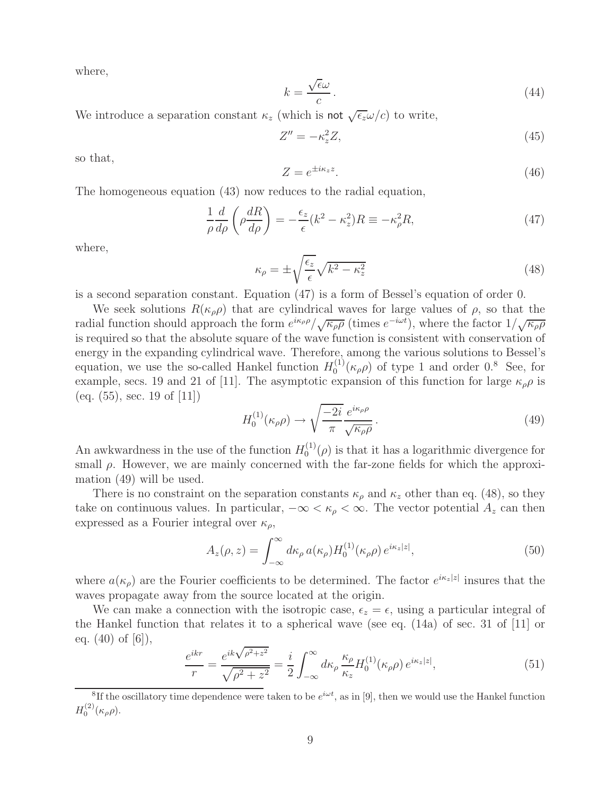where,

$$
k = \frac{\sqrt{\epsilon}\omega}{c} \,. \tag{44}
$$

We introduce a separation constant  $\kappa_z$  (which is not  $\sqrt{\epsilon_z \omega/c}$ ) to write,

$$
Z'' = -\kappa_z^2 Z,\tag{45}
$$

so that,

$$
Z = e^{\pm i\kappa_z z}.\tag{46}
$$

The homogeneous equation (43) now reduces to the radial equation,

$$
\frac{1}{\rho} \frac{d}{d\rho} \left( \rho \frac{dR}{d\rho} \right) = -\frac{\epsilon_z}{\epsilon} (k^2 - \kappa_z^2) R \equiv -\kappa_\rho^2 R,\tag{47}
$$

where,

$$
\kappa_{\rho} = \pm \sqrt{\frac{\epsilon_z}{\epsilon}} \sqrt{k^2 - \kappa_z^2}
$$
\n(48)

is a second separation constant. Equation (47) is a form of Bessel's equation of order 0.

We seek solutions  $R(\kappa_{\rho}\rho)$  that are cylindrical waves for large values of  $\rho$ , so that the radial function should approach the form  $e^{ik\rho\rho}/\sqrt{\kappa_{\rho}\rho}$  (times  $e^{-i\omega t}$ ), where the factor  $1/\sqrt{\kappa_{\rho}\rho}$ is required so that the absolute square of the wave function is consistent with conservation of energy in the expanding cylindrical wave. Therefore, among the various solutions to Bessel's equation, we use the so-called Hankel function  $H_0^{(1)}(\kappa_{\rho}\rho)$  of type 1 and order 0.<sup>8</sup> See, for example, secs. 19 and 21 of [11]. The asymptotic expansion of this function for large  $\kappa_{\rho}\rho$  is (eq.  $(55)$ , sec. 19 of [11])

$$
H_0^{(1)}(\kappa_\rho \rho) \to \sqrt{\frac{-2i}{\pi}} \frac{e^{i\kappa_\rho \rho}}{\sqrt{\kappa_\rho \rho}}.
$$
\n(49)

An awkwardness in the use of the function  $H_0^{(1)}(\rho)$  is that it has a logarithmic divergence for small  $\rho$ . However, we are mainly concerned with the far-zone fields for which the approximation (49) will be used.

There is no constraint on the separation constants  $\kappa_{\rho}$  and  $\kappa_{z}$  other than eq. (48), so they take on continuous values. In particular,  $-\infty < \kappa_{\rho} < \infty$ . The vector potential  $A_z$  can then expressed as a Fourier integral over  $\kappa_{\rho}$ ,

$$
A_z(\rho, z) = \int_{-\infty}^{\infty} d\kappa_\rho a(\kappa_\rho) H_0^{(1)}(\kappa_\rho \rho) e^{i\kappa_z |z|}, \qquad (50)
$$

where  $a(\kappa_\rho)$  are the Fourier coefficients to be determined. The factor  $e^{i\kappa_z|z|}$  insures that the waves propagate away from the source located at the origin.

We can make a connection with the isotropic case,  $\epsilon_z = \epsilon$ , using a particular integral of the Hankel function that relates it to a spherical wave (see eq. (14a) of sec. 31 of [11] or eq.  $(40)$  of  $[6]$ ),

$$
\frac{e^{ikr}}{r} = \frac{e^{ik\sqrt{\rho^2 + z^2}}}{\sqrt{\rho^2 + z^2}} = \frac{i}{2} \int_{-\infty}^{\infty} d\kappa_{\rho} \frac{\kappa_{\rho}}{\kappa_z} H_0^{(1)}(\kappa_{\rho}\rho) e^{i\kappa_z|z|},\tag{51}
$$

<sup>&</sup>lt;sup>8</sup>If the oscillatory time dependence were taken to be  $e^{i\omega t}$ , as in [9], then we would use the Hankel function  $H_0^{(2)}(\kappa_\rho \rho).$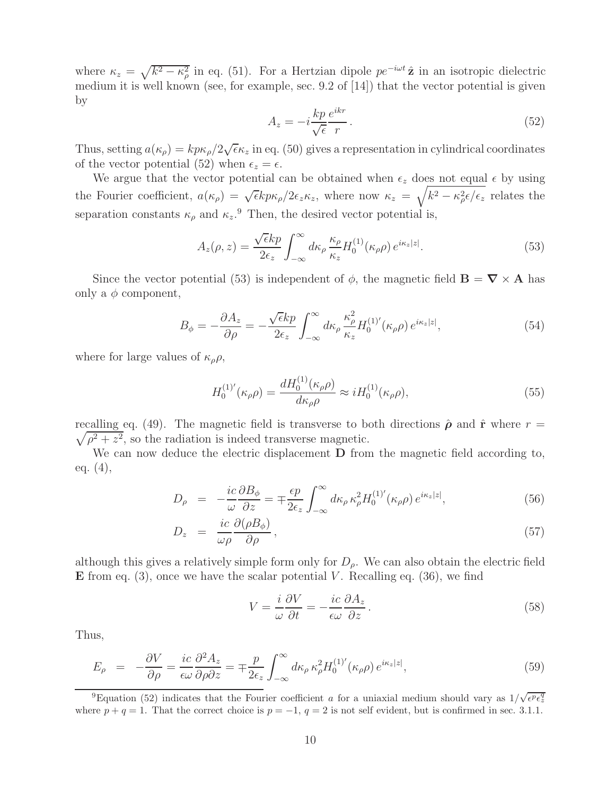where  $\kappa_z = \sqrt{k^2 - \kappa_\rho^2}$  in eq. (51). For a Hertzian dipole  $pe^{-i\omega t}\hat{z}$  in an isotropic dielectric medium it is well known (see, for example, sec. 9.2 of [14]) that the vector potential is given by

$$
A_z = -i\frac{kp}{\sqrt{\epsilon}}\frac{e^{ikr}}{r}.\tag{52}
$$

Thus, setting  $a(\kappa_\rho) = k p \kappa_\rho/2 \sqrt{\epsilon \kappa_z}$  in eq. (50) gives a representation in cylindrical coordinates of the vector potential (52) when  $\epsilon_z = \epsilon$ .

We argue that the vector potential can be obtained when  $\epsilon_z$  does not equal  $\epsilon$  by using the Fourier coefficient,  $a(\kappa_{\rho}) = \sqrt{\epsilon k p \kappa_{\rho}}/2\epsilon_z \kappa_z$ , where now  $\kappa_z = \sqrt{k^2 - \kappa_{\rho}^2 \epsilon/\epsilon_z}$  relates the separation constants  $\kappa_{\rho}$  and  $\kappa_{z}$ .<sup>9</sup> Then, the desired vector potential is,

$$
A_z(\rho, z) = \frac{\sqrt{\epsilon k p}}{2\epsilon_z} \int_{-\infty}^{\infty} d\kappa_\rho \frac{\kappa_\rho}{\kappa_z} H_0^{(1)}(\kappa_\rho \rho) e^{i\kappa_z |z|}.
$$
 (53)

Since the vector potential (53) is independent of  $\phi$ , the magnetic field  $\mathbf{B} = \nabla \times \mathbf{A}$  has only a  $\phi$  component,

$$
B_{\phi} = -\frac{\partial A_z}{\partial \rho} = -\frac{\sqrt{\epsilon k p}}{2\epsilon_z} \int_{-\infty}^{\infty} d\kappa_{\rho} \frac{\kappa_{\rho}^2}{\kappa_z} H_0^{(1)'}(\kappa_{\rho} \rho) e^{i\kappa_z|z|},\tag{54}
$$

where for large values of  $\kappa_{\rho}\rho$ ,

$$
H_0^{(1)'}(\kappa_\rho \rho) = \frac{dH_0^{(1)}(\kappa_\rho \rho)}{d\kappa_\rho \rho} \approx iH_0^{(1)}(\kappa_\rho \rho),\tag{55}
$$

recalling eq. (49). The magnetic field is transverse to both directions  $\hat{\rho}$  and  $\hat{\mathbf{r}}$  where  $r =$  $\sqrt{\rho^2 + z^2}$ , so the radiation is indeed transverse magnetic.

We can now deduce the electric displacement **D** from the magnetic field according to, eq. (4),

$$
D_{\rho} = -\frac{ic}{\omega} \frac{\partial B_{\phi}}{\partial z} = \mp \frac{\epsilon p}{2\epsilon_z} \int_{-\infty}^{\infty} d\kappa_{\rho} \kappa_{\rho}^2 H_0^{(1)'}(\kappa_{\rho} \rho) e^{i\kappa_z |z|}, \tag{56}
$$

$$
D_z = \frac{ic}{\omega \rho} \frac{\partial(\rho B_\phi)}{\partial \rho}, \qquad (57)
$$

although this gives a relatively simple form only for  $D_{\rho}$ . We can also obtain the electric field **E** from eq.  $(3)$ , once we have the scalar potential V. Recalling eq.  $(36)$ , we find

$$
V = \frac{i}{\omega} \frac{\partial V}{\partial t} = -\frac{ic}{\epsilon \omega} \frac{\partial A_z}{\partial z}.
$$
\n(58)

Thus,

$$
E_{\rho} = -\frac{\partial V}{\partial \rho} = \frac{ic}{\epsilon \omega} \frac{\partial^2 A_z}{\partial \rho \partial z} = \mp \frac{p}{2\epsilon_z} \int_{-\infty}^{\infty} d\kappa_{\rho} \,\kappa_{\rho}^2 H_0^{(1)'}(\kappa_{\rho} \rho) \, e^{i\kappa_z |z|},\tag{59}
$$

<sup>9</sup>Equation (52) indicates that the Fourier coefficient a for a uniaxial medium should vary as  $1/\sqrt{ }$  $\epsilon^p \epsilon_z^q$ where  $p + q = 1$ . That the correct choice is  $p = -1$ ,  $q = 2$  is not self evident, but is confirmed in sec. 3.1.1.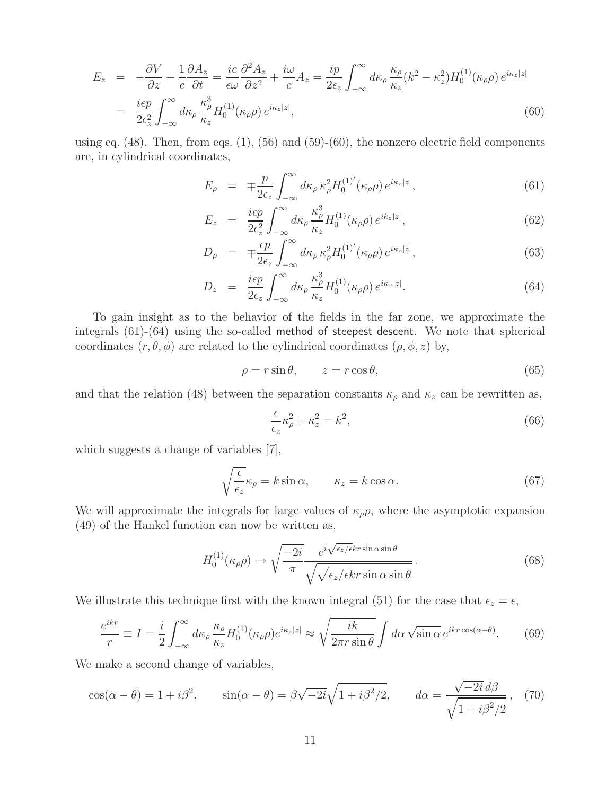$$
E_z = -\frac{\partial V}{\partial z} - \frac{1}{c} \frac{\partial A_z}{\partial t} = \frac{ic}{\epsilon \omega} \frac{\partial^2 A_z}{\partial z^2} + \frac{i\omega}{c} A_z = \frac{ip}{2\epsilon_z} \int_{-\infty}^{\infty} d\kappa_\rho \frac{\kappa_\rho}{\kappa_z} (k^2 - \kappa_z^2) H_0^{(1)}(\kappa_\rho \rho) e^{i\kappa_z |z|}
$$
  

$$
= \frac{i\epsilon p}{2\epsilon_z^2} \int_{-\infty}^{\infty} d\kappa_\rho \frac{\kappa_\rho^3}{\kappa_z} H_0^{(1)}(\kappa_\rho \rho) e^{i\kappa_z |z|}, \tag{60}
$$

using eq.  $(48)$ . Then, from eqs.  $(1)$ ,  $(56)$  and  $(59)-(60)$ , the nonzero electric field components are, in cylindrical coordinates,

$$
E_{\rho} = \mp \frac{p}{2\epsilon_z} \int_{-\infty}^{\infty} d\kappa_{\rho} \kappa_{\rho}^2 H_0^{(1)'}(\kappa_{\rho} \rho) e^{i\kappa_z |z|}, \qquad (61)
$$

$$
E_z = \frac{i\epsilon p}{2\epsilon_z^2} \int_{-\infty}^{\infty} d\kappa_\rho \frac{\kappa_\rho^3}{\kappa_z} H_0^{(1)}(\kappa_\rho \rho) e^{ik_z|z|}, \tag{62}
$$

$$
D_{\rho} = \mp \frac{\epsilon p}{2\epsilon_z} \int_{-\infty}^{\infty} d\kappa_{\rho} \kappa_{\rho}^2 H_0^{(1)'}(\kappa_{\rho} \rho) e^{i\kappa_z|z|}, \qquad (63)
$$

$$
D_z = \frac{i\epsilon p}{2\epsilon_z} \int_{-\infty}^{\infty} d\kappa_\rho \frac{\kappa_\rho^3}{\kappa_z} H_0^{(1)}(\kappa_\rho \rho) e^{i\kappa_z|z|}.
$$
 (64)

To gain insight as to the behavior of the fields in the far zone, we approximate the integrals (61)-(64) using the so-called method of steepest descent. We note that spherical coordinates  $(r, \theta, \phi)$  are related to the cylindrical coordinates  $(\rho, \phi, z)$  by,

$$
\rho = r \sin \theta, \qquad z = r \cos \theta,\tag{65}
$$

and that the relation (48) between the separation constants  $\kappa_{\rho}$  and  $\kappa_{z}$  can be rewritten as,

$$
\frac{\epsilon}{\epsilon_z} \kappa_\rho^2 + \kappa_z^2 = k^2,\tag{66}
$$

which suggests a change of variables [7],

$$
\sqrt{\frac{\epsilon}{\epsilon_z}} \kappa_\rho = k \sin \alpha, \qquad \kappa_z = k \cos \alpha. \tag{67}
$$

We will approximate the integrals for large values of  $\kappa_{\rho}\rho$ , where the asymptotic expansion (49) of the Hankel function can now be written as,

$$
H_0^{(1)}(\kappa_\rho \rho) \to \sqrt{\frac{-2i}{\pi}} \frac{e^{i\sqrt{\epsilon_z/\epsilon}kr\sin\alpha\sin\theta}}{\sqrt{\sqrt{\epsilon_z/\epsilon}kr\sin\alpha\sin\theta}}.
$$
 (68)

We illustrate this technique first with the known integral (51) for the case that  $\epsilon_z = \epsilon$ ,

$$
\frac{e^{ikr}}{r} \equiv I = \frac{i}{2} \int_{-\infty}^{\infty} d\kappa_{\rho} \frac{\kappa_{\rho}}{\kappa_{z}} H_{0}^{(1)}(\kappa_{\rho}\rho) e^{i\kappa_{z}|z|} \approx \sqrt{\frac{ik}{2\pi r \sin\theta}} \int d\alpha \sqrt{\sin\alpha} e^{ikr \cos(\alpha-\theta)}.
$$
 (69)

We make a second change of variables,

$$
\cos(\alpha - \theta) = 1 + i\beta^2, \qquad \sin(\alpha - \theta) = \beta\sqrt{-2i}\sqrt{1 + i\beta^2/2}, \qquad d\alpha = \frac{\sqrt{-2i} d\beta}{\sqrt{1 + i\beta^2/2}}, \tag{70}
$$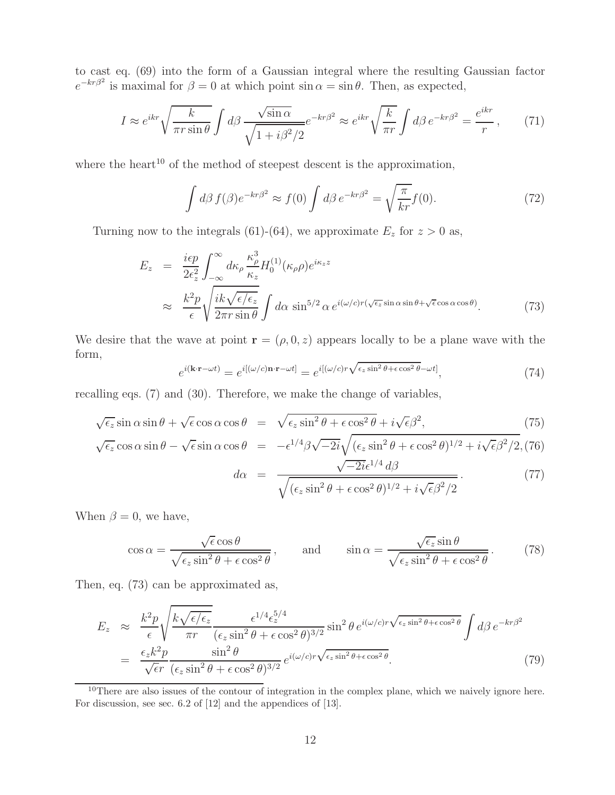to cast eq. (69) into the form of a Gaussian integral where the resulting Gaussian factor  $e^{-kr\beta^2}$  is maximal for  $\beta = 0$  at which point sin  $\alpha = \sin \theta$ . Then, as expected,

$$
I \approx e^{ikr} \sqrt{\frac{k}{\pi r \sin \theta}} \int d\beta \frac{\sqrt{\sin \alpha}}{\sqrt{1 + i \beta^2 / 2}} e^{-kr\beta^2} \approx e^{ikr} \sqrt{\frac{k}{\pi r}} \int d\beta \, e^{-kr\beta^2} = \frac{e^{ikr}}{r},\qquad(71)
$$

where the heart<sup>10</sup> of the method of steepest descent is the approximation,

$$
\int d\beta f(\beta)e^{-kr\beta^2} \approx f(0) \int d\beta e^{-kr\beta^2} = \sqrt{\frac{\pi}{kr}}f(0). \tag{72}
$$

Turning now to the integrals (61)-(64), we approximate  $E_z$  for  $z > 0$  as,

$$
E_z = \frac{i\epsilon p}{2\epsilon_z^2} \int_{-\infty}^{\infty} d\kappa_\rho \frac{\kappa_\rho^3}{\kappa_z} H_0^{(1)}(\kappa_\rho \rho) e^{i\kappa_z z}
$$
  

$$
\approx \frac{k^2 p}{\epsilon} \sqrt{\frac{i k \sqrt{\epsilon/\epsilon_z}}{2\pi r \sin \theta}} \int d\alpha \sin^{5/2} \alpha e^{i(\omega/c)r(\sqrt{\epsilon_z} \sin \alpha \sin \theta + \sqrt{\epsilon} \cos \alpha \cos \theta)}.
$$
 (73)

We desire that the wave at point **r** =  $(\rho, 0, z)$  appears locally to be a plane wave with the form,

$$
e^{i(\mathbf{k}\cdot\mathbf{r}-\omega t)} = e^{i[(\omega/c)\mathbf{n}\cdot\mathbf{r}-\omega t]} = e^{i[(\omega/c)r\sqrt{\epsilon_z\sin^2\theta + \epsilon\cos^2\theta} - \omega t]},\tag{74}
$$

recalling eqs. (7) and (30). Therefore, we make the change of variables,

$$
\sqrt{\epsilon_z} \sin \alpha \sin \theta + \sqrt{\epsilon} \cos \alpha \cos \theta = \sqrt{\epsilon_z \sin^2 \theta + \epsilon \cos^2 \theta + i \sqrt{\epsilon} \beta^2},
$$
\n(75)

$$
\sqrt{\epsilon_z} \cos \alpha \sin \theta - \sqrt{\epsilon} \sin \alpha \cos \theta = -\epsilon^{1/4} \beta \sqrt{-2i} \sqrt{(\epsilon_z \sin^2 \theta + \epsilon \cos^2 \theta)^{1/2} + i \sqrt{\epsilon} \beta^2 / 2},
$$
(76)

$$
d\alpha = \frac{\sqrt{-2i}\epsilon^{1/4} d\beta}{\sqrt{(\epsilon_z \sin^2 \theta + \epsilon \cos^2 \theta)^{1/2} + i\sqrt{\epsilon}\beta^2/2}}.
$$
 (77)

When  $\beta = 0$ , we have,

$$
\cos \alpha = \frac{\sqrt{\epsilon} \cos \theta}{\sqrt{\epsilon_z \sin^2 \theta + \epsilon \cos^2 \theta}}, \quad \text{and} \quad \sin \alpha = \frac{\sqrt{\epsilon_z} \sin \theta}{\sqrt{\epsilon_z \sin^2 \theta + \epsilon \cos^2 \theta}}. \tag{78}
$$

Then, eq. (73) can be approximated as,

$$
E_z \approx \frac{k^2 p}{\epsilon} \sqrt{\frac{k \sqrt{\epsilon/\epsilon_z}}{\pi r} \frac{\epsilon^{1/4} \epsilon_z^{5/4}}{(\epsilon_z \sin^2 \theta + \epsilon \cos^2 \theta)^{3/2}} \sin^2 \theta e^{i(\omega/c)r \sqrt{\epsilon_z \sin^2 \theta + \epsilon \cos^2 \theta}} \int d\beta e^{-kr\beta^2}
$$
  
= 
$$
\frac{\epsilon_z k^2 p}{\sqrt{\epsilon}r} \frac{\sin^2 \theta}{(\epsilon_z \sin^2 \theta + \epsilon \cos^2 \theta)^{3/2}} e^{i(\omega/c)r \sqrt{\epsilon_z \sin^2 \theta + \epsilon \cos^2 \theta}}.
$$
(79)

<sup>10</sup>There are also issues of the contour of integration in the complex plane, which we naively ignore here. For discussion, see sec. 6.2 of [12] and the appendices of [13].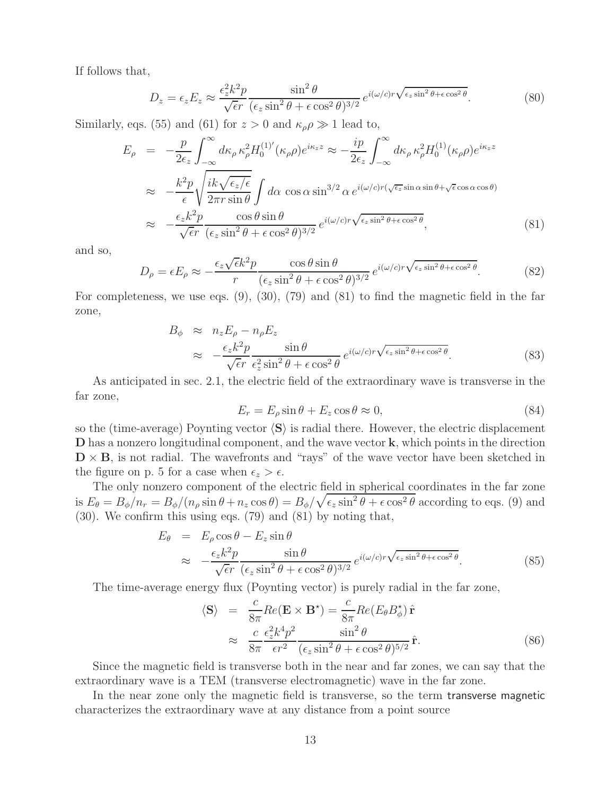If follows that,

$$
D_z = \epsilon_z E_z \approx \frac{\epsilon_z^2 k^2 p}{\sqrt{\epsilon r}} \frac{\sin^2 \theta}{(\epsilon_z \sin^2 \theta + \epsilon \cos^2 \theta)^{3/2}} e^{i(\omega/c)r\sqrt{\epsilon_z \sin^2 \theta + \epsilon \cos^2 \theta}}.
$$
 (80)

Similarly, eqs. (55) and (61) for  $z > 0$  and  $\kappa_{\rho} \rho \gg 1$  lead to,

$$
E_{\rho} = -\frac{p}{2\epsilon_{z}} \int_{-\infty}^{\infty} d\kappa_{\rho} \kappa_{\rho}^{2} H_{0}^{(1)'}(\kappa_{\rho}\rho) e^{i\kappa_{z}z} \approx -\frac{ip}{2\epsilon_{z}} \int_{-\infty}^{\infty} d\kappa_{\rho} \kappa_{\rho}^{2} H_{0}^{(1)}(\kappa_{\rho}\rho) e^{i\kappa_{z}z}
$$
  

$$
\approx -\frac{k^{2}p}{\epsilon} \sqrt{\frac{ik\sqrt{\epsilon_{z}/\epsilon}}{2\pi r \sin \theta}} \int d\alpha \cos \alpha \sin^{3/2} \alpha e^{i(\omega/c)r(\sqrt{\epsilon_{z}} \sin \alpha \sin \theta + \sqrt{\epsilon} \cos \alpha \cos \theta)}
$$
  

$$
\approx -\frac{\epsilon_{z}k^{2}p}{\sqrt{\epsilon}r} \frac{\cos \theta \sin \theta}{(\epsilon_{z} \sin^{2} \theta + \epsilon \cos^{2} \theta)^{3/2}} e^{i(\omega/c)r\sqrt{\epsilon_{z} \sin^{2} \theta + \epsilon \cos^{2} \theta}},
$$
(81)

and so,

$$
D_{\rho} = \epsilon E_{\rho} \approx -\frac{\epsilon_{z}\sqrt{\epsilon}k^{2}p}{r} \frac{\cos\theta\sin\theta}{(\epsilon_{z}\sin^{2}\theta + \epsilon\cos^{2}\theta)^{3/2}} e^{i(\omega/c)r\sqrt{\epsilon_{z}\sin^{2}\theta + \epsilon\cos^{2}\theta}}.
$$
 (82)

For completeness, we use eqs. (9), (30), (79) and (81) to find the magnetic field in the far zone,

$$
B_{\phi} \approx n_{z} E_{\rho} - n_{\rho} E_{z}
$$
  

$$
\approx -\frac{\epsilon_{z} k^{2} p}{\sqrt{\epsilon} r} \frac{\sin \theta}{\epsilon_{z}^{2} \sin^{2} \theta + \epsilon \cos^{2} \theta} e^{i(\omega/c)r \sqrt{\epsilon_{z} \sin^{2} \theta + \epsilon \cos^{2} \theta}}.
$$
 (83)

As anticipated in sec. 2.1, the electric field of the extraordinary wave is transverse in the far zone,

$$
E_r = E_\rho \sin \theta + E_z \cos \theta \approx 0,\tag{84}
$$

so the (time-average) Poynting vector  $\langle S \rangle$  is radial there. However, the electric displacement **D** has a nonzero longitudinal component, and the wave vector **k**, which points in the direction  $\mathbf{D} \times \mathbf{B}$ , is not radial. The wavefronts and "rays" of the wave vector have been sketched in the figure on p. 5 for a case when  $\epsilon_z > \epsilon$ .

The only nonzero component of the electric field in spherical coordinates in the far zone is  $E_{\theta} = B_{\phi}/n_r = B_{\phi}/(n_{\rho} \sin \theta + n_z \cos \theta) = B_{\phi}/\sqrt{\epsilon_z \sin^2 \theta + \epsilon \cos^2 \theta}$  according to eqs. (9) and (30). We confirm this using eqs. (79) and (81) by noting that,

$$
E_{\theta} = E_{\rho} \cos \theta - E_{z} \sin \theta
$$
  
\n
$$
\approx -\frac{\epsilon_{z} k^{2} p}{\sqrt{\epsilon} r} \frac{\sin \theta}{(\epsilon_{z} \sin^{2} \theta + \epsilon \cos^{2} \theta)^{3/2}} e^{i(\omega/c)r \sqrt{\epsilon_{z} \sin^{2} \theta + \epsilon \cos^{2} \theta}}.
$$
 (85)

The time-average energy flux (Poynting vector) is purely radial in the far zone,

$$
\langle \mathbf{S} \rangle = \frac{c}{8\pi} Re(\mathbf{E} \times \mathbf{B}^*) = \frac{c}{8\pi} Re(E_{\theta} B_{\phi}^*) \hat{\mathbf{r}}
$$
  

$$
\approx \frac{c}{8\pi} \frac{\epsilon_z^2 k^4 p^2}{\epsilon r^2} \frac{\sin^2 \theta}{(\epsilon_z \sin^2 \theta + \epsilon \cos^2 \theta)^{5/2}} \hat{\mathbf{r}}.
$$
 (86)

Since the magnetic field is transverse both in the near and far zones, we can say that the extraordinary wave is a TEM (transverse electromagnetic) wave in the far zone.

In the near zone only the magnetic field is transverse, so the term transverse magnetic characterizes the extraordinary wave at any distance from a point source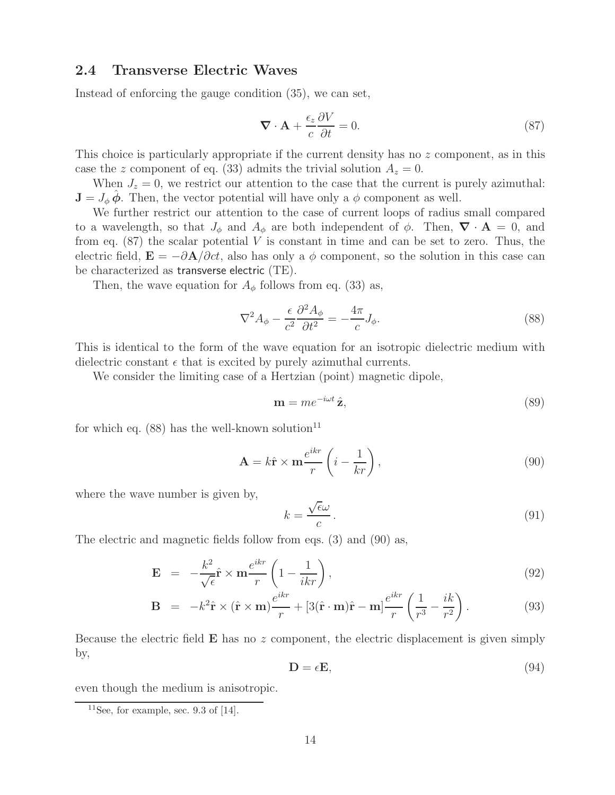### **2.4 Transverse Electric Waves**

Instead of enforcing the gauge condition (35), we can set,

$$
\nabla \cdot \mathbf{A} + \frac{\epsilon_z}{c} \frac{\partial V}{\partial t} = 0.
$$
 (87)

This choice is particularly appropriate if the current density has no z component, as in this case the z component of eq. (33) admits the trivial solution  $A_z = 0$ .

When  $J_z = 0$ , we restrict our attention to the case that the current is purely azimuthal:  $\mathbf{J} = J_{\phi} \phi$ . Then, the vector potential will have only a  $\phi$  component as well.

We further restrict our attention to the case of current loops of radius small compared to a wavelength, so that  $J_{\phi}$  and  $A_{\phi}$  are both independent of  $\phi$ . Then,  $\nabla \cdot \mathbf{A} = 0$ , and from eq.  $(87)$  the scalar potential V is constant in time and can be set to zero. Thus, the electric field,  $\mathbf{E} = -\partial \mathbf{A}/\partial ct$ , also has only a  $\phi$  component, so the solution in this case can be characterized as transverse electric (TE).

Then, the wave equation for  $A_{\phi}$  follows from eq. (33) as,

$$
\nabla^2 A_{\phi} - \frac{\epsilon}{c^2} \frac{\partial^2 A_{\phi}}{\partial t^2} = -\frac{4\pi}{c} J_{\phi}.
$$
\n(88)

This is identical to the form of the wave equation for an isotropic dielectric medium with dielectric constant  $\epsilon$  that is excited by purely azimuthal currents.

We consider the limiting case of a Hertzian (point) magnetic dipole,

$$
\mathbf{m} = me^{-i\omega t}\,\hat{\mathbf{z}},\tag{89}
$$

for which eq.  $(88)$  has the well-known solution<sup>11</sup>

$$
\mathbf{A} = k\hat{\mathbf{r}} \times \mathbf{m} \frac{e^{ikr}}{r} \left( i - \frac{1}{kr} \right),\tag{90}
$$

where the wave number is given by,

$$
k = \frac{\sqrt{\epsilon}\omega}{c} \,. \tag{91}
$$

The electric and magnetic fields follow from eqs. (3) and (90) as,

$$
\mathbf{E} = -\frac{k^2}{\sqrt{\epsilon}} \hat{\mathbf{r}} \times \mathbf{m} \frac{e^{ikr}}{r} \left( 1 - \frac{1}{ikr} \right), \tag{92}
$$

$$
\mathbf{B} = -k^2 \hat{\mathbf{r}} \times (\hat{\mathbf{r}} \times \mathbf{m}) \frac{e^{ikr}}{r} + [3(\hat{\mathbf{r}} \cdot \mathbf{m})\hat{\mathbf{r}} - \mathbf{m}] \frac{e^{ikr}}{r} \left(\frac{1}{r^3} - \frac{ik}{r^2}\right). \tag{93}
$$

Because the electric field **E** has no z component, the electric displacement is given simply by,

$$
\mathbf{D} = \epsilon \mathbf{E},\tag{94}
$$

even though the medium is anisotropic.

<sup>&</sup>lt;sup>11</sup>See, for example, sec. 9.3 of  $[14]$ .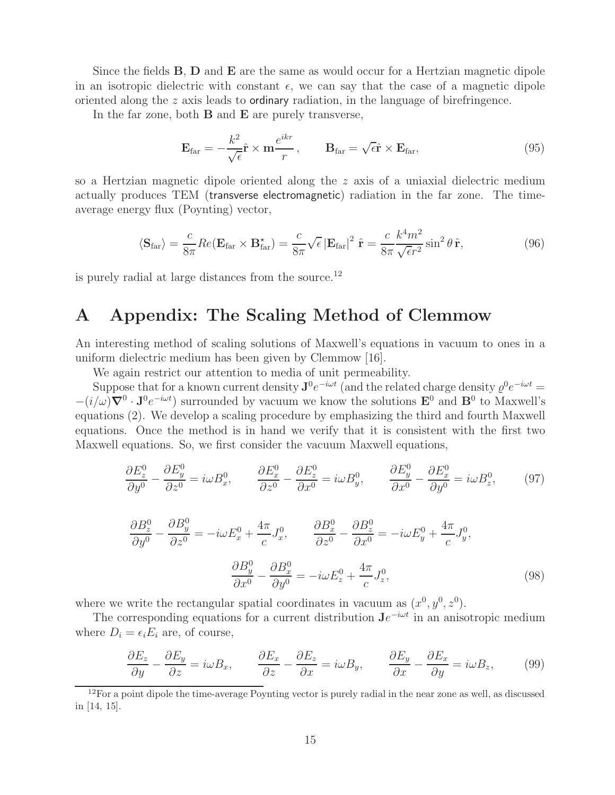Since the fields **B**, **D** and **E** are the same as would occur for a Hertzian magnetic dipole in an isotropic dielectric with constant  $\epsilon$ , we can say that the case of a magnetic dipole oriented along the z axis leads to ordinary radiation, in the language of birefringence.

In the far zone, both **B** and **E** are purely transverse,

$$
\mathbf{E}_{\text{far}} = -\frac{k^2}{\sqrt{\epsilon}} \hat{\mathbf{r}} \times \mathbf{m} \frac{e^{ikr}}{r}, \qquad \mathbf{B}_{\text{far}} = \sqrt{\epsilon} \hat{\mathbf{r}} \times \mathbf{E}_{\text{far}}, \qquad (95)
$$

so a Hertzian magnetic dipole oriented along the  $z$  axis of a uniaxial dielectric medium actually produces TEM (transverse electromagnetic) radiation in the far zone. The timeaverage energy flux (Poynting) vector,

$$
\langle \mathbf{S}_{\text{far}} \rangle = \frac{c}{8\pi} Re(\mathbf{E}_{\text{far}} \times \mathbf{B}_{\text{far}}^*) = \frac{c}{8\pi} \sqrt{\epsilon} |\mathbf{E}_{\text{far}}|^2 \hat{\mathbf{r}} = \frac{c}{8\pi} \frac{k^4 m^2}{\sqrt{\epsilon r^2}} \sin^2 \theta \hat{\mathbf{r}},
$$
(96)

is purely radial at large distances from the source.<sup>12</sup>

### **A Appendix: The Scaling Method of Clemmow**

An interesting method of scaling solutions of Maxwell's equations in vacuum to ones in a uniform dielectric medium has been given by Clemmow [16].

We again restrict our attention to media of unit permeability.

Suppose that for a known current density  $J^0e^{-i\omega t}$  (and the related charge density  $\rho^0e^{-i\omega t}$  =  $-(i/\omega)\nabla^0 \cdot \mathbf{J}^0 e^{-i\omega t}$  surrounded by vacuum we know the solutions  $\mathbf{E}^0$  and  $\mathbf{B}^0$  to Maxwell's equations (2). We develop a scaling procedure by emphasizing the third and fourth Maxwell equations. Once the method is in hand we verify that it is consistent with the first two Maxwell equations. So, we first consider the vacuum Maxwell equations,

$$
\frac{\partial E_z^0}{\partial y^0} - \frac{\partial E_y^0}{\partial z^0} = i\omega B_x^0, \qquad \frac{\partial E_x^0}{\partial z^0} - \frac{\partial E_z^0}{\partial x^0} = i\omega B_y^0, \qquad \frac{\partial E_y^0}{\partial x^0} - \frac{\partial E_x^0}{\partial y^0} = i\omega B_z^0,\tag{97}
$$

$$
\frac{\partial B_z^0}{\partial y^0} - \frac{\partial B_y^0}{\partial z^0} = -i\omega E_x^0 + \frac{4\pi}{c} J_x^0, \qquad \frac{\partial B_x^0}{\partial z^0} - \frac{\partial B_z^0}{\partial x^0} = -i\omega E_y^0 + \frac{4\pi}{c} J_y^0,
$$

$$
\frac{\partial B_y^0}{\partial x^0} - \frac{\partial B_x^0}{\partial y^0} = -i\omega E_z^0 + \frac{4\pi}{c} J_z^0,
$$
(98)

where we write the rectangular spatial coordinates in vacuum as  $(x^0, y^0, z^0)$ .

The corresponding equations for a current distribution  $\mathbf{J}e^{-i\omega t}$  in an anisotropic medium where  $D_i = \epsilon_i E_i$  are, of course,

$$
\frac{\partial E_z}{\partial y} - \frac{\partial E_y}{\partial z} = i\omega B_x, \qquad \frac{\partial E_x}{\partial z} - \frac{\partial E_z}{\partial x} = i\omega B_y, \qquad \frac{\partial E_y}{\partial x} - \frac{\partial E_x}{\partial y} = i\omega B_z,\tag{99}
$$

 $12$ For a point dipole the time-average Poynting vector is purely radial in the near zone as well, as discussed in [14, 15].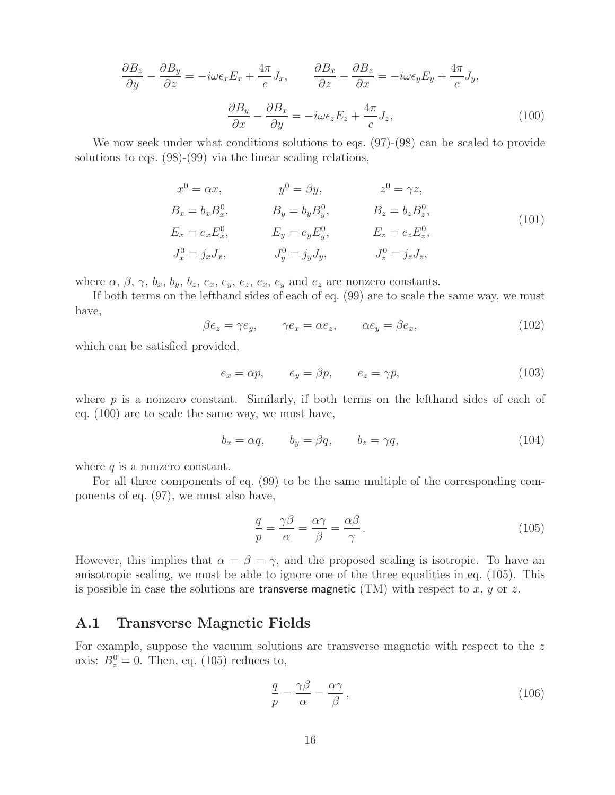$$
\frac{\partial B_z}{\partial y} - \frac{\partial B_y}{\partial z} = -i\omega \epsilon_x E_x + \frac{4\pi}{c} J_x, \qquad \frac{\partial B_x}{\partial z} - \frac{\partial B_z}{\partial x} = -i\omega \epsilon_y E_y + \frac{4\pi}{c} J_y,
$$

$$
\frac{\partial B_y}{\partial x} - \frac{\partial B_x}{\partial y} = -i\omega \epsilon_z E_z + \frac{4\pi}{c} J_z,
$$
(100)

We now seek under what conditions solutions to eqs.  $(97)-(98)$  can be scaled to provide solutions to eqs. (98)-(99) via the linear scaling relations,

$$
x^{0} = \alpha x, \qquad y^{0} = \beta y, \qquad z^{0} = \gamma z,
$$
  
\n
$$
B_{x} = b_{x} B_{x}^{0}, \qquad B_{y} = b_{y} B_{y}^{0}, \qquad B_{z} = b_{z} B_{z}^{0},
$$
  
\n
$$
E_{x} = e_{x} E_{x}^{0}, \qquad E_{y} = e_{y} E_{y}^{0}, \qquad E_{z} = e_{z} E_{z}^{0},
$$
  
\n
$$
J_{x}^{0} = j_{x} J_{x}, \qquad J_{y}^{0} = j_{y} J_{y}, \qquad J_{z}^{0} = j_{z} J_{z},
$$
  
\n(101)

where  $\alpha$ ,  $\beta$ ,  $\gamma$ ,  $b_x$ ,  $b_y$ ,  $b_z$ ,  $e_x$ ,  $e_y$ ,  $e_z$ ,  $e_x$ ,  $e_y$  and  $e_z$  are nonzero constants.

If both terms on the lefthand sides of each of eq. (99) are to scale the same way, we must have,

 $\beta e_z = \gamma e_y, \qquad \gamma e_x = \alpha e_z, \qquad \alpha e_y = \beta e_x,$ (102)

which can be satisfied provided,

$$
e_x = \alpha p, \qquad e_y = \beta p, \qquad e_z = \gamma p,\tag{103}
$$

where p is a nonzero constant. Similarly, if both terms on the lefthand sides of each of eq. (100) are to scale the same way, we must have,

$$
b_x = \alpha q, \qquad b_y = \beta q, \qquad b_z = \gamma q,
$$
\n(104)

where  $q$  is a nonzero constant.

For all three components of eq. (99) to be the same multiple of the corresponding components of eq. (97), we must also have,

$$
\frac{q}{p} = \frac{\gamma \beta}{\alpha} = \frac{\alpha \gamma}{\beta} = \frac{\alpha \beta}{\gamma}.
$$
\n(105)

However, this implies that  $\alpha = \beta = \gamma$ , and the proposed scaling is isotropic. To have an anisotropic scaling, we must be able to ignore one of the three equalities in eq. (105). This is possible in case the solutions are **transverse magnetic** (TM) with respect to  $x, y$  or  $z$ .

### **A.1 Transverse Magnetic Fields**

For example, suppose the vacuum solutions are transverse magnetic with respect to the z axis:  $B_z^0 = 0$ . Then, eq. (105) reduces to,

$$
\frac{q}{p} = \frac{\gamma \beta}{\alpha} = \frac{\alpha \gamma}{\beta},\tag{106}
$$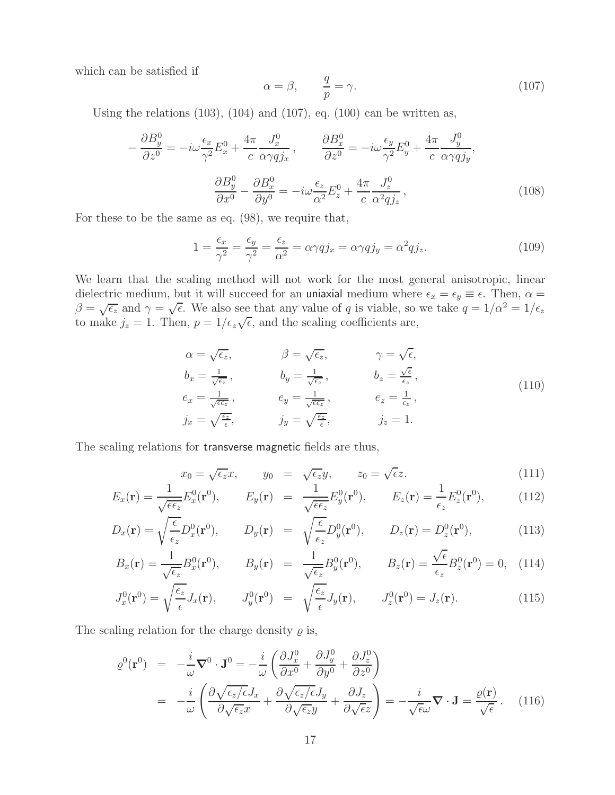which can be satisfied if

$$
\alpha = \beta, \qquad \frac{q}{p} = \gamma. \tag{107}
$$

Using the relations  $(103)$ ,  $(104)$  and  $(107)$ , eq.  $(100)$  can be written as,

$$
-\frac{\partial B_y^0}{\partial z^0} = -i\omega \frac{\epsilon_x}{\gamma^2} E_x^0 + \frac{4\pi}{c} \frac{J_x^0}{\alpha \gamma q j_x}, \qquad \frac{\partial B_x^0}{\partial z^0} = -i\omega \frac{\epsilon_y}{\gamma^2} E_y^0 + \frac{4\pi}{c} \frac{J_y^0}{\alpha \gamma q j_y},
$$

$$
\frac{\partial B_y^0}{\partial x^0} - \frac{\partial B_x^0}{\partial y^0} = -i\omega \frac{\epsilon_z}{\alpha^2} E_z^0 + \frac{4\pi}{c} \frac{J_z^0}{\alpha^2 q j_z}, \qquad (108)
$$

For these to be the same as eq. (98), we require that,

$$
1 = \frac{\epsilon_x}{\gamma^2} = \frac{\epsilon_y}{\gamma^2} = \frac{\epsilon_z}{\alpha^2} = \alpha \gamma q j_x = \alpha \gamma q j_y = \alpha^2 q j_z.
$$
 (109)

We learn that the scaling method will not work for the most general anisotropic, linear dielectric medium, but it will succeed for an uniaxial medium where  $\epsilon_x = \epsilon_y \equiv \epsilon$ . Then,  $\alpha =$  $\beta = \sqrt{\epsilon_z}$  and  $\gamma = \sqrt{\epsilon}$ . We also see that any value of q is viable, so we take  $q = 1/\alpha^2 = 1/\epsilon_z$  $\psi - \sqrt{\epsilon}z$  and  $\gamma - \sqrt{\epsilon}$ . We also see that any value of q is viable, so to make  $j_z = 1$ . Then,  $p = 1/\epsilon_z\sqrt{\epsilon}$ , and the scaling coefficients are,

$$
\alpha = \sqrt{\epsilon_z}, \qquad \beta = \sqrt{\epsilon_z}, \qquad \gamma = \sqrt{\epsilon},
$$
  
\n
$$
b_x = \frac{1}{\sqrt{\epsilon_z}}, \qquad b_y = \frac{1}{\sqrt{\epsilon_z}}, \qquad b_z = \frac{\sqrt{\epsilon}}{\epsilon_z},
$$
  
\n
$$
e_x = \frac{1}{\sqrt{\epsilon_z}}, \qquad e_y = \frac{1}{\sqrt{\epsilon_z}}, \qquad e_z = \frac{1}{\epsilon_z},
$$
  
\n
$$
j_x = \sqrt{\frac{\epsilon_z}{\epsilon}}, \qquad j_y = \sqrt{\frac{\epsilon_z}{\epsilon}}, \qquad j_z = 1.
$$
\n(110)

The scaling relations for transverse magnetic fields are thus,

$$
x_0 = \sqrt{\epsilon_z} x, \qquad y_0 = \sqrt{\epsilon_z} y, \qquad z_0 = \sqrt{\epsilon} z.
$$
 (111)

$$
E_x(\mathbf{r}) = \frac{1}{\sqrt{\epsilon \epsilon_z}} E_x^0(\mathbf{r}^0), \qquad E_y(\mathbf{r}) = \frac{1}{\sqrt{\epsilon \epsilon_z}} E_y^0(\mathbf{r}^0), \qquad E_z(\mathbf{r}) = \frac{1}{\epsilon_z} E_z^0(\mathbf{r}^0), \qquad (112)
$$

$$
D_x(\mathbf{r}) = \sqrt{\frac{\epsilon}{\epsilon_z}} D_x^0(\mathbf{r}^0), \qquad D_y(\mathbf{r}) = \sqrt{\frac{\epsilon}{\epsilon_z}} D_y^0(\mathbf{r}^0), \qquad D_z(\mathbf{r}) = D_z^0(\mathbf{r}^0), \tag{113}
$$

$$
B_x(\mathbf{r}) = \frac{1}{\sqrt{\epsilon_z}} B_x^0(\mathbf{r}^0), \qquad B_y(\mathbf{r}) = \frac{1}{\sqrt{\epsilon_z}} B_y^0(\mathbf{r}^0), \qquad B_z(\mathbf{r}) = \frac{\sqrt{\epsilon}}{\epsilon_z} B_z^0(\mathbf{r}^0) = 0, \quad (114)
$$

$$
J_x^0(\mathbf{r}^0) = \sqrt{\frac{\epsilon_z}{\epsilon}} J_x(\mathbf{r}), \qquad J_y^0(\mathbf{r}^0) = \sqrt{\frac{\epsilon_z}{\epsilon}} J_y(\mathbf{r}), \qquad J_z^0(\mathbf{r}^0) = J_z(\mathbf{r}). \tag{115}
$$

The scaling relation for the charge density  $\rho$  is,

$$
\varrho^{0}(\mathbf{r}^{0}) = -\frac{i}{\omega} \nabla^{0} \cdot \mathbf{J}^{0} = -\frac{i}{\omega} \left( \frac{\partial J_{x}^{0}}{\partial x^{0}} + \frac{\partial J_{y}^{0}}{\partial y^{0}} + \frac{\partial J_{z}^{0}}{\partial z^{0}} \right)
$$
  

$$
= -\frac{i}{\omega} \left( \frac{\partial \sqrt{\epsilon_{z}/\epsilon} J_{x}}{\partial \sqrt{\epsilon_{z} x}} + \frac{\partial \sqrt{\epsilon_{z}/\epsilon} J_{y}}{\partial \sqrt{\epsilon_{z} y}} + \frac{\partial J_{z}}{\partial \sqrt{\epsilon} z} \right) = -\frac{i}{\sqrt{\epsilon \omega}} \nabla \cdot \mathbf{J} = \frac{\varrho(\mathbf{r})}{\sqrt{\epsilon}}. \quad (116)
$$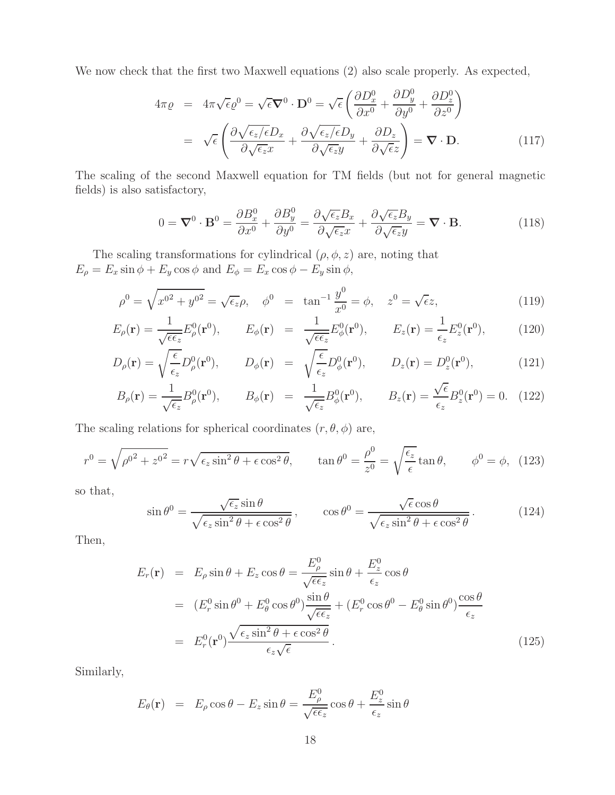We now check that the first two Maxwell equations (2) also scale properly. As expected,

$$
4\pi \varrho = 4\pi \sqrt{\epsilon} \varrho^{0} = \sqrt{\epsilon} \nabla^{0} \cdot \mathbf{D}^{0} = \sqrt{\epsilon} \left( \frac{\partial D_{x}^{0}}{\partial x^{0}} + \frac{\partial D_{y}^{0}}{\partial y^{0}} + \frac{\partial D_{z}^{0}}{\partial z^{0}} \right)
$$

$$
= \sqrt{\epsilon} \left( \frac{\partial \sqrt{\epsilon_{z}/\epsilon} D_{x}}{\partial \sqrt{\epsilon_{z} x}} + \frac{\partial \sqrt{\epsilon_{z}/\epsilon} D_{y}}{\partial \sqrt{\epsilon_{z} y}} + \frac{\partial D_{z}}{\partial \sqrt{\epsilon} z} \right) = \nabla \cdot \mathbf{D}.
$$
(117)

The scaling of the second Maxwell equation for TM fields (but not for general magnetic fields) is also satisfactory,

$$
0 = \nabla^{0} \cdot \mathbf{B}^{0} = \frac{\partial B_{x}^{0}}{\partial x^{0}} + \frac{\partial B_{y}^{0}}{\partial y^{0}} = \frac{\partial \sqrt{\epsilon_{z}} B_{x}}{\partial \sqrt{\epsilon_{z}} x} + \frac{\partial \sqrt{\epsilon_{z}} B_{y}}{\partial \sqrt{\epsilon_{z}} y} = \nabla \cdot \mathbf{B}.
$$
 (118)

The scaling transformations for cylindrical  $(\rho, \phi, z)$  are, noting that  $E_{\rho} = E_x \sin \phi + E_y \cos \phi$  and  $E_{\phi} = E_x \cos \phi - E_y \sin \phi$ ,

$$
\rho^0 = \sqrt{x^{0^2} + y^{0^2}} = \sqrt{\epsilon_z} \rho, \quad \phi^0 = \tan^{-1} \frac{y^0}{x^0} = \phi, \quad z^0 = \sqrt{\epsilon_z}, \tag{119}
$$

$$
E_{\rho}(\mathbf{r}) = \frac{1}{\sqrt{\epsilon \epsilon_z}} E_{\rho}^0(\mathbf{r}^0), \qquad E_{\phi}(\mathbf{r}) = \frac{1}{\sqrt{\epsilon \epsilon_z}} E_{\phi}^0(\mathbf{r}^0), \qquad E_z(\mathbf{r}) = \frac{1}{\epsilon_z} E_z^0(\mathbf{r}^0), \qquad (120)
$$

$$
D_{\rho}(\mathbf{r}) = \sqrt{\frac{\epsilon}{\epsilon_z}} D_{\rho}^0(\mathbf{r}^0), \qquad D_{\phi}(\mathbf{r}) = \sqrt{\frac{\epsilon}{\epsilon_z}} D_{\phi}^0(\mathbf{r}^0), \qquad D_z(\mathbf{r}) = D_z^0(\mathbf{r}^0), \tag{121}
$$

$$
B_{\rho}(\mathbf{r}) = \frac{1}{\sqrt{\epsilon_z}} B_{\rho}^0(\mathbf{r}^0), \qquad B_{\phi}(\mathbf{r}) = \frac{1}{\sqrt{\epsilon_z}} B_{\phi}^0(\mathbf{r}^0), \qquad B_z(\mathbf{r}) = \frac{\sqrt{\epsilon}}{\epsilon_z} B_z^0(\mathbf{r}^0) = 0. \tag{122}
$$

The scaling relations for spherical coordinates  $(r, \theta, \phi)$  are,

$$
r^{0} = \sqrt{\rho^{02} + z^{02}} = r\sqrt{\epsilon_{z}\sin^{2}\theta + \epsilon\cos^{2}\theta}, \qquad \tan\theta^{0} = \frac{\rho^{0}}{z^{0}} = \sqrt{\frac{\epsilon_{z}}{\epsilon}}\tan\theta, \qquad \phi^{0} = \phi, \tag{123}
$$

so that,

$$
\sin \theta^0 = \frac{\sqrt{\epsilon_z} \sin \theta}{\sqrt{\epsilon_z \sin^2 \theta + \epsilon \cos^2 \theta}}, \qquad \cos \theta^0 = \frac{\sqrt{\epsilon} \cos \theta}{\sqrt{\epsilon_z \sin^2 \theta + \epsilon \cos^2 \theta}}.
$$
 (124)

Then,

$$
E_r(\mathbf{r}) = E_\rho \sin \theta + E_z \cos \theta = \frac{E_\rho^0}{\sqrt{\epsilon \epsilon_z}} \sin \theta + \frac{E_z^0}{\epsilon_z} \cos \theta
$$
  
=  $(E_r^0 \sin \theta^0 + E_\theta^0 \cos \theta^0) \frac{\sin \theta}{\sqrt{\epsilon \epsilon_z}} + (E_r^0 \cos \theta^0 - E_\theta^0 \sin \theta^0) \frac{\cos \theta}{\epsilon_z}$   
=  $E_r^0(\mathbf{r}^0) \frac{\sqrt{\epsilon_z \sin^2 \theta + \epsilon \cos^2 \theta}}{\epsilon_z \sqrt{\epsilon}}$ . (125)

Similarly,

$$
E_{\theta}(\mathbf{r}) = E_{\rho} \cos \theta - E_{z} \sin \theta = \frac{E_{\rho}^{0}}{\sqrt{\epsilon \epsilon_{z}}} \cos \theta + \frac{E_{z}^{0}}{\epsilon_{z}} \sin \theta
$$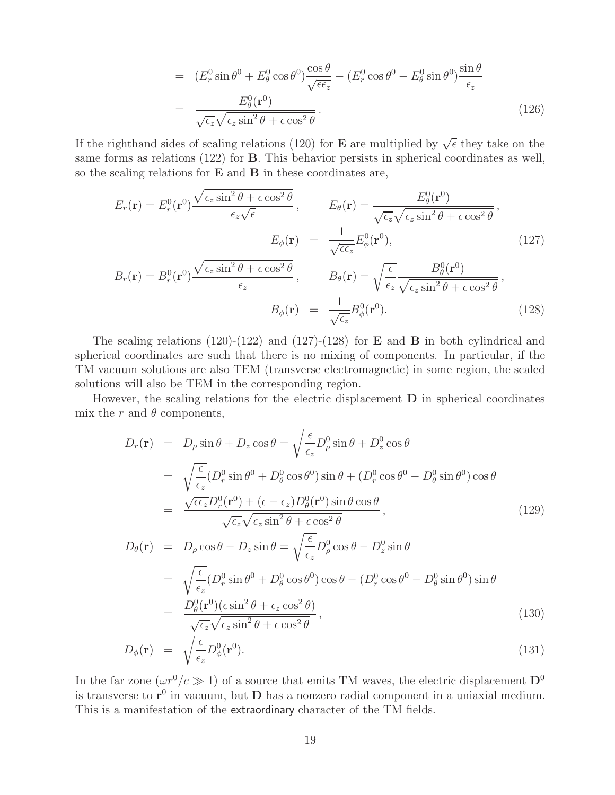$$
= (E_r^0 \sin \theta^0 + E_\theta^0 \cos \theta^0) \frac{\cos \theta}{\sqrt{\epsilon \epsilon_z}} - (E_r^0 \cos \theta^0 - E_\theta^0 \sin \theta^0) \frac{\sin \theta}{\epsilon_z}
$$
  

$$
= \frac{E_\theta^0(\mathbf{r}^0)}{\sqrt{\epsilon_z} \sqrt{\epsilon_z \sin^2 \theta + \epsilon \cos^2 \theta}}.
$$
(126)

If the righthand sides of scaling relations (120) for **E** are multiplied by  $\sqrt{\epsilon}$  they take on the same forms as relations (122) for **B**. This behavior persists in spherical coordinates as well, so the scaling relations for **E** and **B** in these coordinates are,

$$
E_r(\mathbf{r}) = E_r^0(\mathbf{r}^0) \frac{\sqrt{\epsilon_z \sin^2 \theta + \epsilon \cos^2 \theta}}{\epsilon_z \sqrt{\epsilon}}, \qquad E_\theta(\mathbf{r}) = \frac{E_\theta^0(\mathbf{r}^0)}{\sqrt{\epsilon_z} \sqrt{\epsilon_z \sin^2 \theta + \epsilon \cos^2 \theta}},
$$

$$
E_\phi(\mathbf{r}) = \frac{1}{\sqrt{\epsilon_\epsilon}} E_\phi^0(\mathbf{r}^0), \qquad (127)
$$

$$
B_r(\mathbf{r}) = B_r^0(\mathbf{r}^0) \frac{\sqrt{\epsilon_z \sin^2 \theta + \epsilon \cos^2 \theta}}{\epsilon_z}, \qquad B_\theta(\mathbf{r}) = \sqrt{\frac{\epsilon}{\epsilon_z}} \frac{B_\theta^0(\mathbf{r}^0)}{\sqrt{\epsilon_z \sin^2 \theta + \epsilon \cos^2 \theta}},
$$

$$
B_\phi(\mathbf{r}) = \frac{1}{\sqrt{\epsilon_z}} B_\phi^0(\mathbf{r}^0). \qquad (128)
$$

 $(128)$ 

The scaling relations (120)-(122) and (127)-(128) for **E** and **B** in both cylindrical and spherical coordinates are such that there is no mixing of components. In particular, if the TM vacuum solutions are also TEM (transverse electromagnetic) in some region, the scaled solutions will also be TEM in the corresponding region.

However, the scaling relations for the electric displacement **D** in spherical coordinates mix the r and  $\theta$  components,

$$
D_r(\mathbf{r}) = D_\rho \sin \theta + D_z \cos \theta = \sqrt{\frac{\epsilon}{\epsilon_z}} D_\rho^0 \sin \theta + D_z^0 \cos \theta
$$
  
\n
$$
= \sqrt{\frac{\epsilon}{\epsilon_z}} (D_r^0 \sin \theta^0 + D_\theta^0 \cos \theta^0) \sin \theta + (D_r^0 \cos \theta^0 - D_\theta^0 \sin \theta^0) \cos \theta
$$
  
\n
$$
= \frac{\sqrt{\epsilon \epsilon_z} D_r^0(\mathbf{r}^0) + (\epsilon - \epsilon_z) D_\theta^0(\mathbf{r}^0) \sin \theta \cos \theta}{\sqrt{\epsilon_z} \sqrt{\epsilon_z} \sin^2 \theta + \epsilon \cos^2 \theta},
$$
  
\n
$$
D_\theta(\mathbf{r}) = D_\rho \cos \theta - D_z \sin \theta = \sqrt{\frac{\epsilon}{\epsilon_z}} D_\rho^0 \cos \theta - D_z^0 \sin \theta
$$
  
\n
$$
= \sqrt{\frac{\epsilon}{\epsilon_z}} (D_r^0 \sin \theta^0 + D_\theta^0 \cos \theta^0) \cos \theta - (D_r^0 \cos \theta^0 - D_\theta^0 \sin \theta^0) \sin \theta
$$
  
\n
$$
= \frac{D_\theta^0(\mathbf{r}^0)(\epsilon \sin^2 \theta + \epsilon_z \cos^2 \theta)}{\sqrt{\epsilon_z} \sqrt{\epsilon_z} \sin^2 \theta + \epsilon \cos^2 \theta},
$$
  
\n(130)

$$
D_{\phi}(\mathbf{r}) = \sqrt{\frac{\epsilon}{\epsilon_z}} D_{\phi}^0(\mathbf{r}^0). \tag{131}
$$

In the far zone  $(\omega r^0/c \gg 1)$  of a source that emits TM waves, the electric displacement  $\mathbf{D}^0$ is transverse to  $r^0$  in vacuum, but **D** has a nonzero radial component in a uniaxial medium. This is a manifestation of the extraordinary character of the TM fields.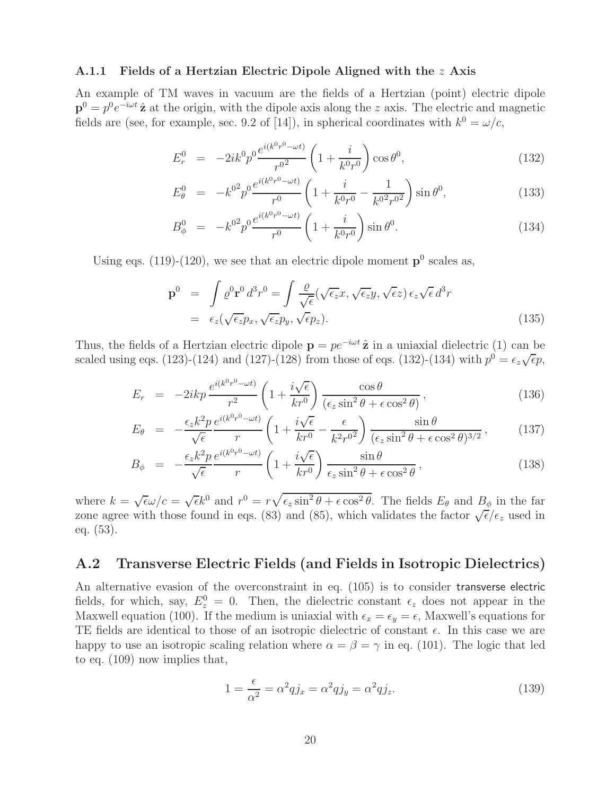#### **A.1.1 Fields of a Hertzian Electric Dipole Aligned with the** z **Axis**

An example of TM waves in vacuum are the fields of a Hertzian (point) electric dipole  $p^0 = p^0 e^{-i\omega t} \hat{z}$  at the origin, with the dipole axis along the z axis. The electric and magnetic fields are (see, for example, sec. 9.2 of [14]), in spherical coordinates with  $k^0 = \omega/c$ ,

$$
E_r^0 = -2ik^0 p^0 \frac{e^{i(k^0 r^0 - \omega t)}}{r^{0^2}} \left(1 + \frac{i}{k^0 r^0}\right) \cos \theta^0, \tag{132}
$$

$$
E_{\theta}^{0} = -k^{0^{2}} p^{0} \frac{e^{i(k^{0}r^{0}-\omega t)}}{r^{0}} \left(1 + \frac{i}{k^{0}r^{0}} - \frac{1}{k^{0^{2}}r^{0^{2}}}\right) \sin \theta^{0}, \qquad (133)
$$

$$
B_{\phi}^{0} = -k^{0^{2}} p^{0} \frac{e^{i(k^{0}r^{0}-\omega t)}}{r^{0}} \left(1 + \frac{i}{k^{0}r^{0}}\right) \sin \theta^{0}.
$$
 (134)

Using eqs. (119)-(120), we see that an electric dipole moment  $p^0$  scales as,

$$
\mathbf{p}^{0} = \int \varrho^{0} \mathbf{r}^{0} d^{3} r^{0} = \int \frac{\varrho}{\sqrt{\epsilon}} (\sqrt{\epsilon_{z}} x, \sqrt{\epsilon_{z}} y, \sqrt{\epsilon} z) \epsilon_{z} \sqrt{\epsilon} d^{3} r
$$

$$
= \epsilon_{z} (\sqrt{\epsilon_{z}} p_{x}, \sqrt{\epsilon_{z}} p_{y}, \sqrt{\epsilon} p_{z}). \tag{135}
$$

Thus, the fields of a Hertzian electric dipole  $\mathbf{p} = p e^{-i\omega t} \hat{\mathbf{z}}$  in a uniaxial dielectric (1) can be scaled using eqs. (123)-(124) and (127)-(128) from those of eqs. (132)-(134) with  $p^0 = \epsilon_z \sqrt{\epsilon} p$ ,

$$
E_r = -2ikp \frac{e^{i(k^0 r^0 - \omega t)}}{r^2} \left(1 + \frac{i\sqrt{\epsilon}}{kr^0}\right) \frac{\cos\theta}{(\epsilon_z \sin^2\theta + \epsilon \cos^2\theta)},
$$
\n(136)

$$
E_{\theta} = -\frac{\epsilon_z k^2 p}{\sqrt{\epsilon}} \frac{e^{i(k^0 r^0 - \omega t)}}{r} \left( 1 + \frac{i\sqrt{\epsilon}}{kr^0} - \frac{\epsilon}{k^2 r^{0^2}} \right) \frac{\sin \theta}{(\epsilon_z \sin^2 \theta + \epsilon \cos^2 \theta)^{3/2}},
$$
(137)

$$
B_{\phi} = -\frac{\epsilon_z k^2 p}{\sqrt{\epsilon}} \frac{e^{i(k^0 r^0 - \omega t)}}{r} \left(1 + \frac{i\sqrt{\epsilon}}{kr^0}\right) \frac{\sin \theta}{\epsilon_z \sin^2 \theta + \epsilon \cos^2 \theta},
$$
(138)

where  $k = \sqrt{\epsilon \omega/c} = \sqrt{\epsilon} k^0$  and  $r^0 = r \sqrt{\epsilon_z \sin^2 \theta + \epsilon \cos^2 \theta}$ . The fields  $E_\theta$  and  $B_\phi$  in the far where  $\kappa = \sqrt{\epsilon \omega/c} = \sqrt{\epsilon \kappa}$  and  $\ell = \ell \sqrt{\epsilon_z} \sin \theta + \epsilon \cos \theta$ . The helds  $E_{\theta}$  and  $D_{\phi}$  in the factor  $\sqrt{\epsilon}/\epsilon_z$  used in zone agree with those found in eqs. (83) and (85), which validates the factor  $\sqrt{\epsilon}/\epsilon_z$  used in eq. (53).

### **A.2 Transverse Electric Fields (and Fields in Isotropic Dielectrics)**

An alternative evasion of the overconstraint in eq. (105) is to consider transverse electric fields, for which, say,  $E_z^0 = 0$ . Then, the dielectric constant  $\epsilon_z$  does not appear in the Maxwell equation (100). If the medium is uniaxial with  $\epsilon_x = \epsilon_y = \epsilon$ , Maxwell's equations for TE fields are identical to those of an isotropic dielectric of constant  $\epsilon$ . In this case we are happy to use an isotropic scaling relation where  $\alpha = \beta = \gamma$  in eq. (101). The logic that led to eq. (109) now implies that,

$$
1 = \frac{\epsilon}{\alpha^2} = \alpha^2 q j_x = \alpha^2 q j_y = \alpha^2 q j_z.
$$
 (139)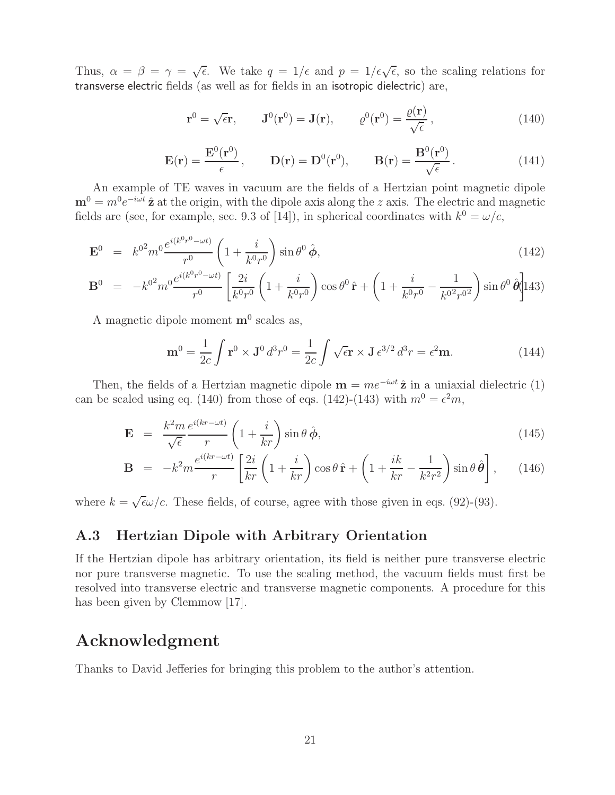Thus,  $\alpha = \beta = \gamma = \sqrt{\epsilon}$ . We take  $q = 1/\epsilon$  and  $p = 1/\epsilon\sqrt{\epsilon}$ , so the scaling relations for transverse electric fields (as well as for fields in an isotropic dielectric) are,

$$
\mathbf{r}^0 = \sqrt{\epsilon} \mathbf{r}, \qquad \mathbf{J}^0(\mathbf{r}^0) = \mathbf{J}(\mathbf{r}), \qquad \varrho^0(\mathbf{r}^0) = \frac{\varrho(\mathbf{r})}{\sqrt{\epsilon}}, \tag{140}
$$

$$
\mathbf{E}(\mathbf{r}) = \frac{\mathbf{E}^0(\mathbf{r}^0)}{\epsilon}, \qquad \mathbf{D}(\mathbf{r}) = \mathbf{D}^0(\mathbf{r}^0), \qquad \mathbf{B}(\mathbf{r}) = \frac{\mathbf{B}^0(\mathbf{r}^0)}{\sqrt{\epsilon}}.
$$
 (141)

An example of TE waves in vacuum are the fields of a Hertzian point magnetic dipole  $\mathbf{m}^0 = m^0 e^{-i\omega t} \hat{\mathbf{z}}$  at the origin, with the dipole axis along the z axis. The electric and magnetic fields are (see, for example, sec. 9.3 of [14]), in spherical coordinates with  $k^0 = \omega/c$ ,

$$
\mathbf{E}^0 = k^{0^2} m^0 \frac{e^{i(k^0 r^0 - \omega t)}}{r^0} \left( 1 + \frac{i}{k^0 r^0} \right) \sin \theta^0 \hat{\phi}, \tag{142}
$$

$$
\mathbf{B}^0 = -k^{0^2} m^0 \frac{e^{i(k^0 r^0 - \omega t)}}{r^0} \left[ \frac{2i}{k^0 r^0} \left( 1 + \frac{i}{k^0 r^0} \right) \cos \theta^0 \hat{\mathbf{r}} + \left( 1 + \frac{i}{k^0 r^0} - \frac{1}{k^0^2 r^0^2} \right) \sin \theta^0 \hat{\theta} \right] 143)
$$

A magnetic dipole moment **m**<sup>0</sup> scales as,

$$
\mathbf{m}^0 = \frac{1}{2c} \int \mathbf{r}^0 \times \mathbf{J}^0 d^3 r^0 = \frac{1}{2c} \int \sqrt{\epsilon} \mathbf{r} \times \mathbf{J} \epsilon^{3/2} d^3 r = \epsilon^2 \mathbf{m}.
$$
 (144)

Then, the fields of a Hertzian magnetic dipole  $\mathbf{m} = me^{-i\omega t} \hat{\mathbf{z}}$  in a uniaxial dielectric (1) can be scaled using eq. (140) from those of eqs. (142)-(143) with  $m^0 = \epsilon^2 m$ ,

$$
\mathbf{E} = \frac{k^2 m}{\sqrt{\epsilon}} \frac{e^{i(kr - \omega t)}}{r} \left( 1 + \frac{i}{kr} \right) \sin \theta \, \hat{\boldsymbol{\phi}}, \tag{145}
$$

$$
\mathbf{B} = -k^2 m \frac{e^{i(kr - \omega t)}}{r} \left[ \frac{2i}{kr} \left( 1 + \frac{i}{kr} \right) \cos \theta \, \hat{\mathbf{r}} + \left( 1 + \frac{ik}{kr} - \frac{1}{k^2 r^2} \right) \sin \theta \, \hat{\theta} \right], \qquad (146)
$$

where  $k = \sqrt{\epsilon} \omega/c$ . These fields, of course, agree with those given in eqs. (92)-(93).

### **A.3 Hertzian Dipole with Arbitrary Orientation**

If the Hertzian dipole has arbitrary orientation, its field is neither pure transverse electric nor pure transverse magnetic. To use the scaling method, the vacuum fields must first be resolved into transverse electric and transverse magnetic components. A procedure for this has been given by Clemmow [17].

### **Acknowledgment**

Thanks to David Jefferies for bringing this problem to the author's attention.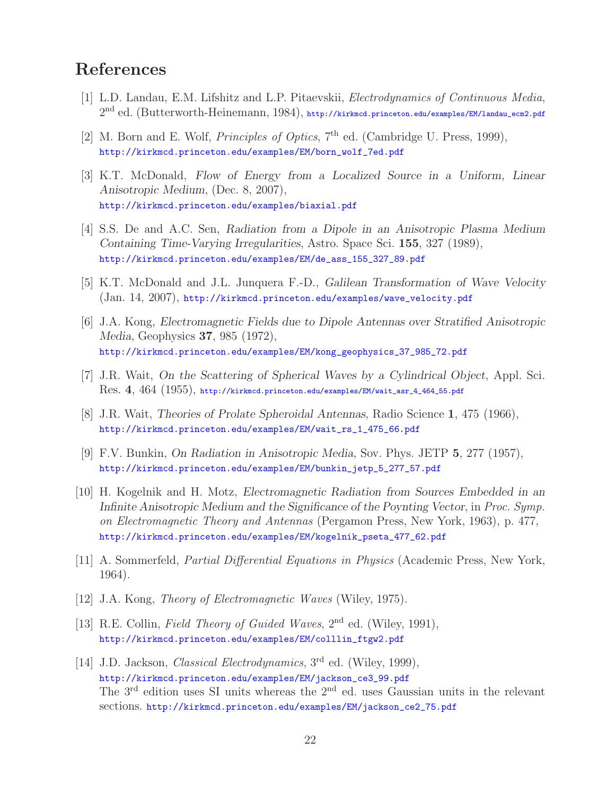# **References**

- [1] L.D. Landau, E.M. Lifshitz and L.P. Pitaevskii, Electrodynamics of Continuous Media,  $2<sup>nd</sup>$  ed. (Butterworth-Heinemann, 1984), http://kirkmcd.princeton.edu/examples/EM/landau\_ecm2.pdf
- [2] M. Born and E. Wolf, *Principles of Optics*,  $7<sup>th</sup>$  ed. (Cambridge U. Press, 1999), http://kirkmcd.princeton.edu/examples/EM/born\_wolf\_7ed.pdf
- [3] K.T. McDonald, *Flow of Energy from a Localized Source in a Uniform, Linear Anisotropic Medium*, (Dec. 8, 2007), http://kirkmcd.princeton.edu/examples/biaxial.pdf
- [4] S.S. De and A.C. Sen, *Radiation from a Dipole in an Anisotropic Plasma Medium Containing Time-Varying Irregularities*, Astro. Space Sci. **155**, 327 (1989), http://kirkmcd.princeton.edu/examples/EM/de\_ass\_155\_327\_89.pdf
- [5] K.T. McDonald and J.L. Junquera F.-D., *Galilean Transformation of Wave Velocity* (Jan. 14, 2007), http://kirkmcd.princeton.edu/examples/wave\_velocity.pdf
- [6] J.A. Kong, *Electromagnetic Fields due to Dipole Antennas over Stratified Anisotropic Media*, Geophysics **37**, 985 (1972), http://kirkmcd.princeton.edu/examples/EM/kong\_geophysics\_37\_985\_72.pdf
- [7] J.R. Wait, *On the Scattering of Spherical Waves by a Cylindrical Object*, Appl. Sci. Res. **4**, 464 (1955), http://kirkmcd.princeton.edu/examples/EM/wait\_asr\_4\_464\_55.pdf
- [8] J.R. Wait, *Theories of Prolate Spheroidal Antennas*, Radio Science **1**, 475 (1966), http://kirkmcd.princeton.edu/examples/EM/wait\_rs\_1\_475\_66.pdf
- [9] F.V. Bunkin, *On Radiation in Anisotropic Media*, Sov. Phys. JETP **5**, 277 (1957), http://kirkmcd.princeton.edu/examples/EM/bunkin\_jetp\_5\_277\_57.pdf
- [10] H. Kogelnik and H. Motz, *Electromagnetic Radiation from Sources Embedded in an Infinite Anisotropic Medium and the Significance of the Poynting Vector*, in Proc. Symp. on Electromagnetic Theory and Antennas (Pergamon Press, New York, 1963), p. 477, http://kirkmcd.princeton.edu/examples/EM/kogelnik\_pseta\_477\_62.pdf
- [11] A. Sommerfeld, Partial Differential Equations in Physics (Academic Press, New York, 1964).
- [12] J.A. Kong, Theory of Electromagnetic Waves (Wiley, 1975).
- [13] R.E. Collin, Field Theory of Guided Waves, 2<sup>nd</sup> ed. (Wiley, 1991), http://kirkmcd.princeton.edu/examples/EM/colllin\_ftgw2.pdf
- [14] J.D. Jackson, *Classical Electrodynamics*, 3<sup>rd</sup> ed. (Wiley, 1999), http://kirkmcd.princeton.edu/examples/EM/jackson\_ce3\_99.pdf The 3<sup>rd</sup> edition uses SI units whereas the 2<sup>nd</sup> ed. uses Gaussian units in the relevant sections. http://kirkmcd.princeton.edu/examples/EM/jackson\_ce2\_75.pdf